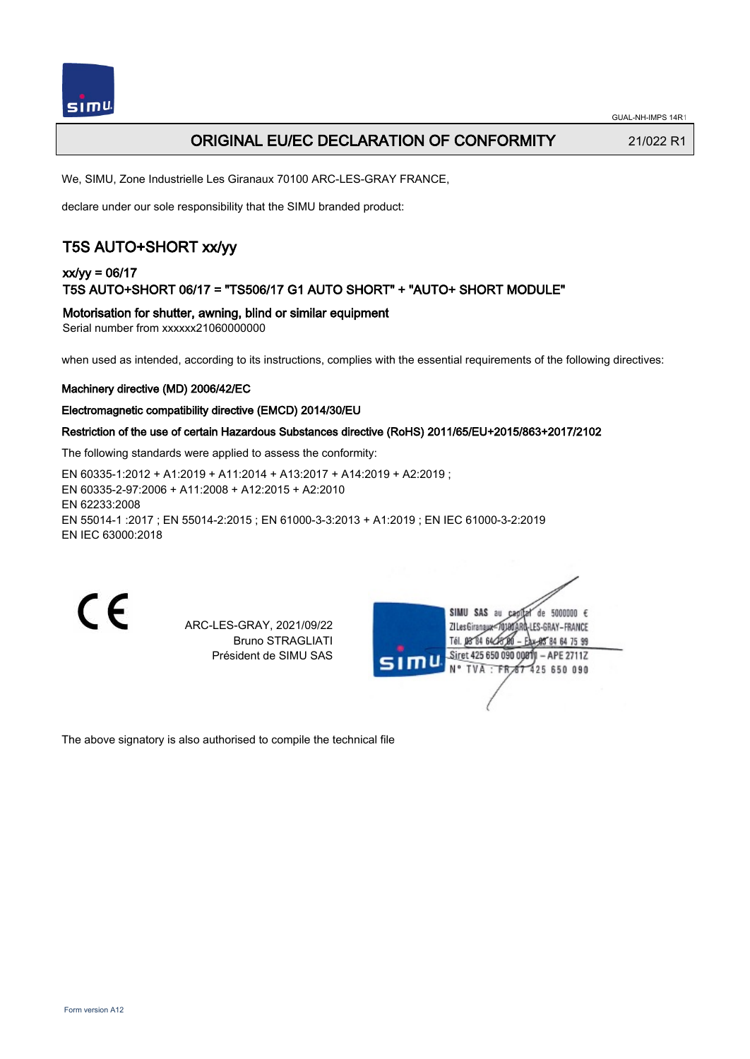

## ORIGINAL EU/EC DECLARATION OF CONFORMITY 21/022 R1

We, SIMU, Zone Industrielle Les Giranaux 70100 ARC-LES-GRAY FRANCE,

declare under our sole responsibility that the SIMU branded product:

# T5S AUTO+SHORT xx/yy

## xx/yy = 06/17 T5S AUTO+SHORT 06/17 = "TS506/17 G1 AUTO SHORT" + "AUTO+ SHORT MODULE"

Motorisation for shutter, awning, blind or similar equipment

Serial number from xxxxxx21060000000

when used as intended, according to its instructions, complies with the essential requirements of the following directives:

#### Machinery directive (MD) 2006/42/EC

#### Electromagnetic compatibility directive (EMCD) 2014/30/EU

#### Restriction of the use of certain Hazardous Substances directive (RoHS) 2011/65/EU+2015/863+2017/2102

The following standards were applied to assess the conformity:

EN 60335‑1:2012 + A1:2019 + A11:2014 + A13:2017 + A14:2019 + A2:2019 ; EN 60335‑2‑97:2006 + A11:2008 + A12:2015 + A2:2010 EN 62233:2008 EN 55014‑1 :2017 ; EN 55014‑2:2015 ; EN 61000‑3‑3:2013 + A1:2019 ; EN IEC 61000‑3‑2:2019 EN IEC 63000:2018

 $\epsilon$ 

ARC-LES-GRAY, 2021/09/22 Bruno STRAGLIATI Président de SIMU SAS

| 51T | SIMU SAS<br>de 5000000 $\epsilon$<br>au<br>JATARQ-LES-GRAY-FRANCE<br>ZI Les Giranaux<br>Tél. 08 84 64 28 00<br>Eax-85 84 64 75 99 |  |
|-----|-----------------------------------------------------------------------------------------------------------------------------------|--|
|     | Siret 425 650 090 00811 - APE 2711Z<br>N° TVA : FR 67 425 650 090                                                                 |  |
|     |                                                                                                                                   |  |

The above signatory is also authorised to compile the technical file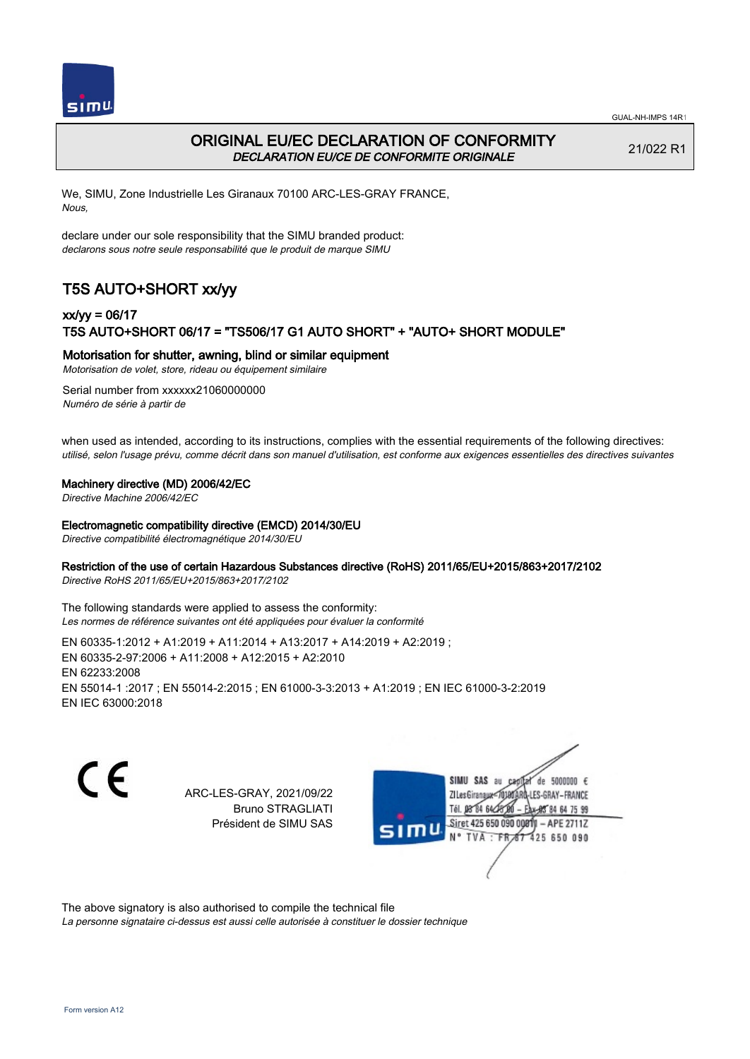



# ORIGINAL EU/EC DECLARATION OF CONFORMITY DECLARATION EU/CE DE CONFORMITE ORIGINALE

21/022 R1

We, SIMU, Zone Industrielle Les Giranaux 70100 ARC-LES-GRAY FRANCE, Nous,

declare under our sole responsibility that the SIMU branded product: declarons sous notre seule responsabilité que le produit de marque SIMU

# T5S AUTO+SHORT xx/yy

## xx/yy = 06/17 T5S AUTO+SHORT 06/17 = "TS506/17 G1 AUTO SHORT" + "AUTO+ SHORT MODULE"

### Motorisation for shutter, awning, blind or similar equipment

Motorisation de volet, store, rideau ou équipement similaire

Serial number from xxxxxx21060000000 Numéro de série à partir de

when used as intended, according to its instructions, complies with the essential requirements of the following directives: utilisé, selon l'usage prévu, comme décrit dans son manuel d'utilisation, est conforme aux exigences essentielles des directives suivantes

#### Machinery directive (MD) 2006/42/EC

Directive Machine 2006/42/EC

#### Electromagnetic compatibility directive (EMCD) 2014/30/EU

Directive compatibilité électromagnétique 2014/30/EU

### Restriction of the use of certain Hazardous Substances directive (RoHS) 2011/65/EU+2015/863+2017/2102

Directive RoHS 2011/65/EU+2015/863+2017/2102

The following standards were applied to assess the conformity: Les normes de référence suivantes ont été appliquées pour évaluer la conformité

EN 60335‑1:2012 + A1:2019 + A11:2014 + A13:2017 + A14:2019 + A2:2019 ; EN 60335‑2‑97:2006 + A11:2008 + A12:2015 + A2:2010 EN 62233:2008 EN 55014‑1 :2017 ; EN 55014‑2:2015 ; EN 61000‑3‑3:2013 + A1:2019 ; EN IEC 61000‑3‑2:2019 EN IEC 63000:2018

C F

ARC-LES-GRAY, 2021/09/22 Bruno STRAGLIATI Président de SIMU SAS



The above signatory is also authorised to compile the technical file

La personne signataire ci-dessus est aussi celle autorisée à constituer le dossier technique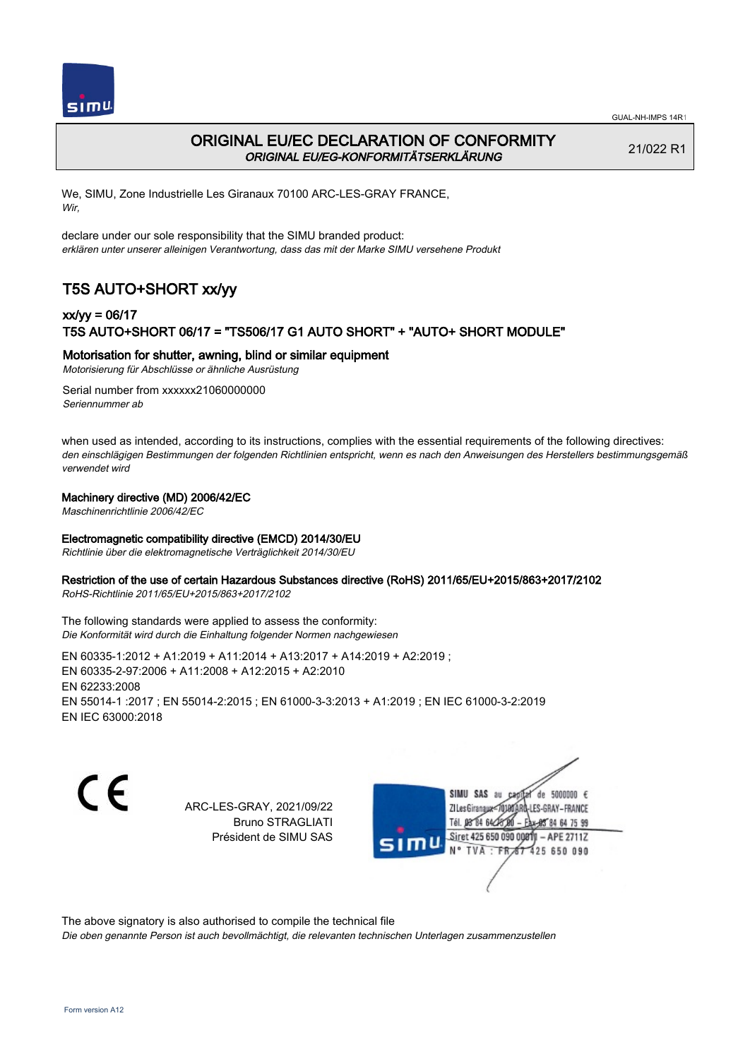



## ORIGINAL EU/EC DECLARATION OF CONFORMITY ORIGINAL EU/EG-KONFORMITÄTSERKLÄRUNG

21/022 R1

We, SIMU, Zone Industrielle Les Giranaux 70100 ARC-LES-GRAY FRANCE, Wir,

declare under our sole responsibility that the SIMU branded product: erklären unter unserer alleinigen Verantwortung, dass das mit der Marke SIMU versehene Produkt

# T5S AUTO+SHORT xx/yy

## xx/yy = 06/17 T5S AUTO+SHORT 06/17 = "TS506/17 G1 AUTO SHORT" + "AUTO+ SHORT MODULE"

### Motorisation for shutter, awning, blind or similar equipment

Motorisierung für Abschlüsse or ähnliche Ausrüstung

Serial number from xxxxxx21060000000 Seriennummer ab

when used as intended, according to its instructions, complies with the essential requirements of the following directives: den einschlägigen Bestimmungen der folgenden Richtlinien entspricht, wenn es nach den Anweisungen des Herstellers bestimmungsgemäß verwendet wird

### Machinery directive (MD) 2006/42/EC

Maschinenrichtlinie 2006/42/EC

### Electromagnetic compatibility directive (EMCD) 2014/30/EU

Richtlinie über die elektromagnetische Verträglichkeit 2014/30/EU

### Restriction of the use of certain Hazardous Substances directive (RoHS) 2011/65/EU+2015/863+2017/2102

RoHS-Richtlinie 2011/65/EU+2015/863+2017/2102

#### The following standards were applied to assess the conformity: Die Konformität wird durch die Einhaltung folgender Normen nachgewiesen

EN 60335‑1:2012 + A1:2019 + A11:2014 + A13:2017 + A14:2019 + A2:2019 ; EN 60335‑2‑97:2006 + A11:2008 + A12:2015 + A2:2010 EN 62233:2008 EN 55014‑1 :2017 ; EN 55014‑2:2015 ; EN 61000‑3‑3:2013 + A1:2019 ; EN IEC 61000‑3‑2:2019 EN IEC 63000:2018

C E

ARC-LES-GRAY, 2021/09/22 Bruno STRAGLIATI Président de SIMU SAS

SIMU SAS de 5000000  $\epsilon$ **ZILes Giranaux** ES-GRAY-FRANCE 64 75 99 Siret 425 650 090 00811  $-$  APE 2711Z 425 650 090

The above signatory is also authorised to compile the technical file

Die oben genannte Person ist auch bevollmächtigt, die relevanten technischen Unterlagen zusammenzustellen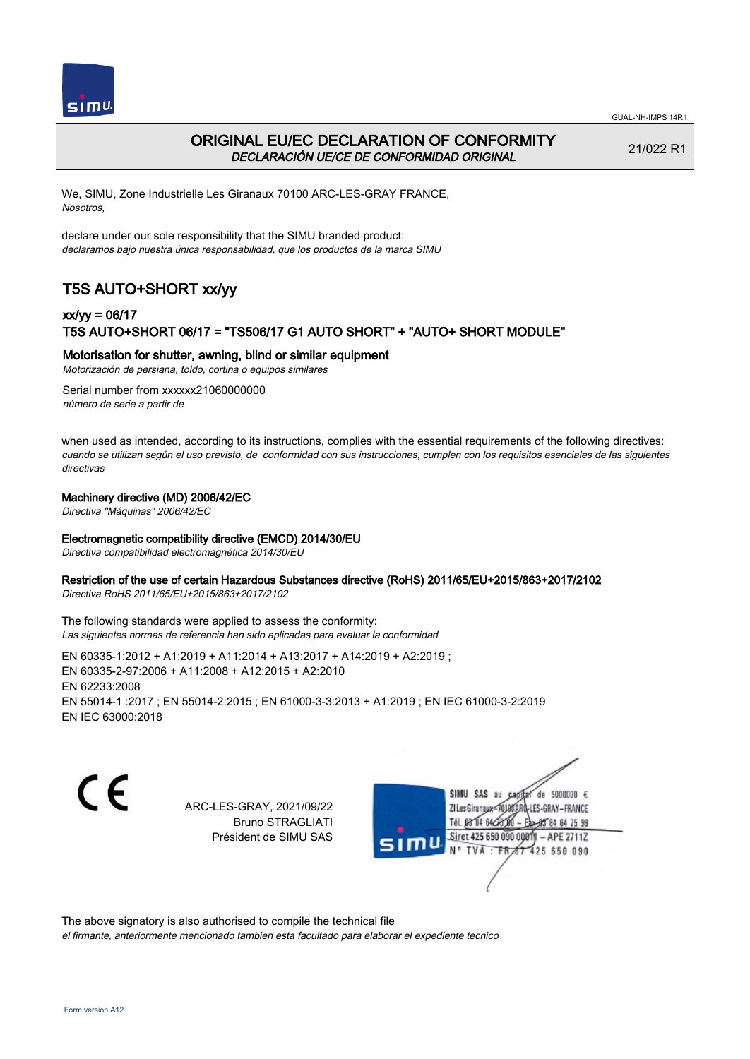



# ORIGINAL EU/EC DECLARATION OF CONFORMITY DECLARACIÓN UE/CE DE CONFORMIDAD ORIGINAL

21/022 R1

We, SIMU, Zone Industrielle Les Giranaux 70100 ARC-LES-GRAY FRANCE, Nosotros,

declare under our sole responsibility that the SIMU branded product: declaramos bajo nuestra única responsabilidad, que los productos de la marca SIMU

# T5S AUTO+SHORT xx/yy

## xx/yy = 06/17 T5S AUTO+SHORT 06/17 = "TS506/17 G1 AUTO SHORT" + "AUTO+ SHORT MODULE"

### Motorisation for shutter, awning, blind or similar equipment

Motorización de persiana, toldo, cortina o equipos similares

Serial number from xxxxxx21060000000 número de serie a partir de

when used as intended, according to its instructions, complies with the essential requirements of the following directives: cuando se utilizan según el uso previsto, de conformidad con sus instrucciones, cumplen con los requisitos esenciales de las siguientes directivas

### Machinery directive (MD) 2006/42/EC

Directiva "Máquinas" 2006/42/EC

#### Electromagnetic compatibility directive (EMCD) 2014/30/EU

Directiva compatibilidad electromagnética 2014/30/EU

#### Restriction of the use of certain Hazardous Substances directive (RoHS) 2011/65/EU+2015/863+2017/2102

Directiva RoHS 2011/65/EU+2015/863+2017/2102

The following standards were applied to assess the conformity: Las siguientes normas de referencia han sido aplicadas para evaluar la conformidad

EN 60335‑1:2012 + A1:2019 + A11:2014 + A13:2017 + A14:2019 + A2:2019 ; EN 60335‑2‑97:2006 + A11:2008 + A12:2015 + A2:2010 EN 62233:2008 EN 55014‑1 :2017 ; EN 55014‑2:2015 ; EN 61000‑3‑3:2013 + A1:2019 ; EN IEC 61000‑3‑2:2019 EN IEC 63000:2018

C E

ARC-LES-GRAY, 2021/09/22 Bruno STRAGLIATI Président de SIMU SAS

SIMU SAS au de 5000000  $\epsilon$ **ZILes Giranaux** ES-GRAY-FRANCE 64 75 99 Siret 425 650 090 00811  $-$  APE 2711Z 425 650 090

The above signatory is also authorised to compile the technical file

el firmante, anteriormente mencionado tambien esta facultado para elaborar el expediente tecnico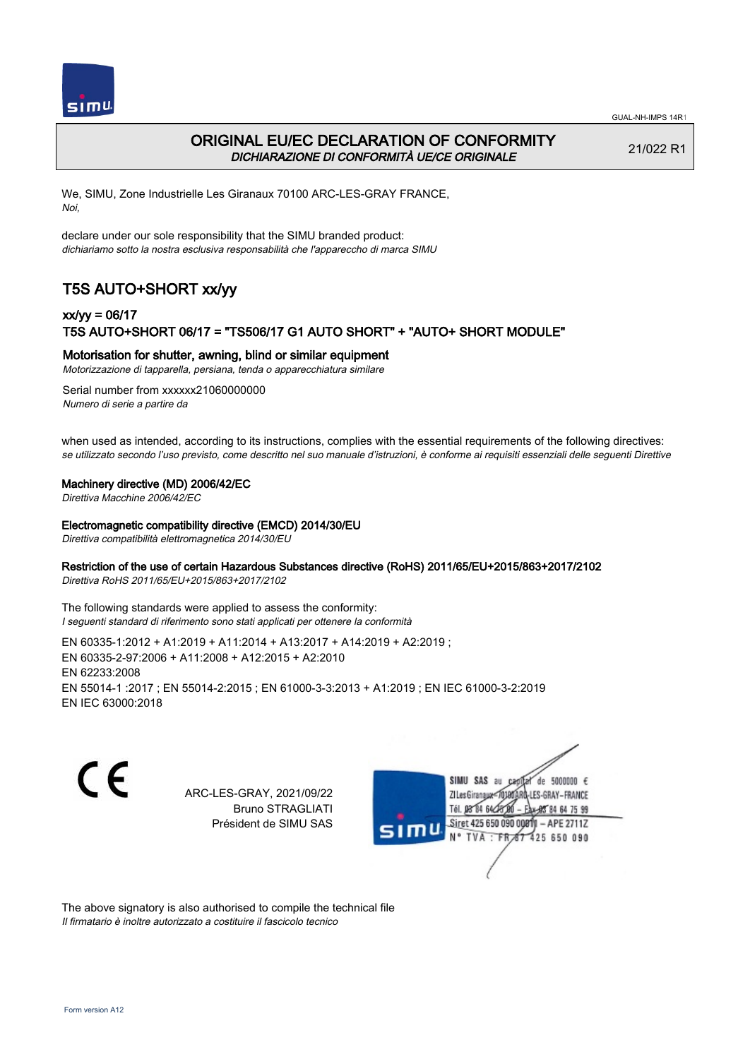

### ORIGINAL EU/EC DECLARATION OF CONFORMITY DICHIARAZIONE DI CONFORMITÀ UE/CE ORIGINALE

21/022 R1

We, SIMU, Zone Industrielle Les Giranaux 70100 ARC-LES-GRAY FRANCE, Noi,

declare under our sole responsibility that the SIMU branded product: dichiariamo sotto la nostra esclusiva responsabilità che l'appareccho di marca SIMU

# T5S AUTO+SHORT xx/yy

## xx/yy = 06/17 T5S AUTO+SHORT 06/17 = "TS506/17 G1 AUTO SHORT" + "AUTO+ SHORT MODULE"

#### Motorisation for shutter, awning, blind or similar equipment

Motorizzazione di tapparella, persiana, tenda o apparecchiatura similare

Serial number from xxxxxx21060000000 Numero di serie a partire da

when used as intended, according to its instructions, complies with the essential requirements of the following directives: se utilizzato secondo l'uso previsto, come descritto nel suo manuale d'istruzioni, è conforme ai requisiti essenziali delle seguenti Direttive

#### Machinery directive (MD) 2006/42/EC

Direttiva Macchine 2006/42/EC

#### Electromagnetic compatibility directive (EMCD) 2014/30/EU

Direttiva compatibilità elettromagnetica 2014/30/EU

#### Restriction of the use of certain Hazardous Substances directive (RoHS) 2011/65/EU+2015/863+2017/2102

Direttiva RoHS 2011/65/EU+2015/863+2017/2102

The following standards were applied to assess the conformity: I seguenti standard di riferimento sono stati applicati per ottenere la conformità

EN 60335‑1:2012 + A1:2019 + A11:2014 + A13:2017 + A14:2019 + A2:2019 ; EN 60335‑2‑97:2006 + A11:2008 + A12:2015 + A2:2010 EN 62233:2008 EN 55014‑1 :2017 ; EN 55014‑2:2015 ; EN 61000‑3‑3:2013 + A1:2019 ; EN IEC 61000‑3‑2:2019 EN IEC 63000:2018

C F

ARC-LES-GRAY, 2021/09/22 Bruno STRAGLIATI Président de SIMU SAS



The above signatory is also authorised to compile the technical file Il firmatario è inoltre autorizzato a costituire il fascicolo tecnico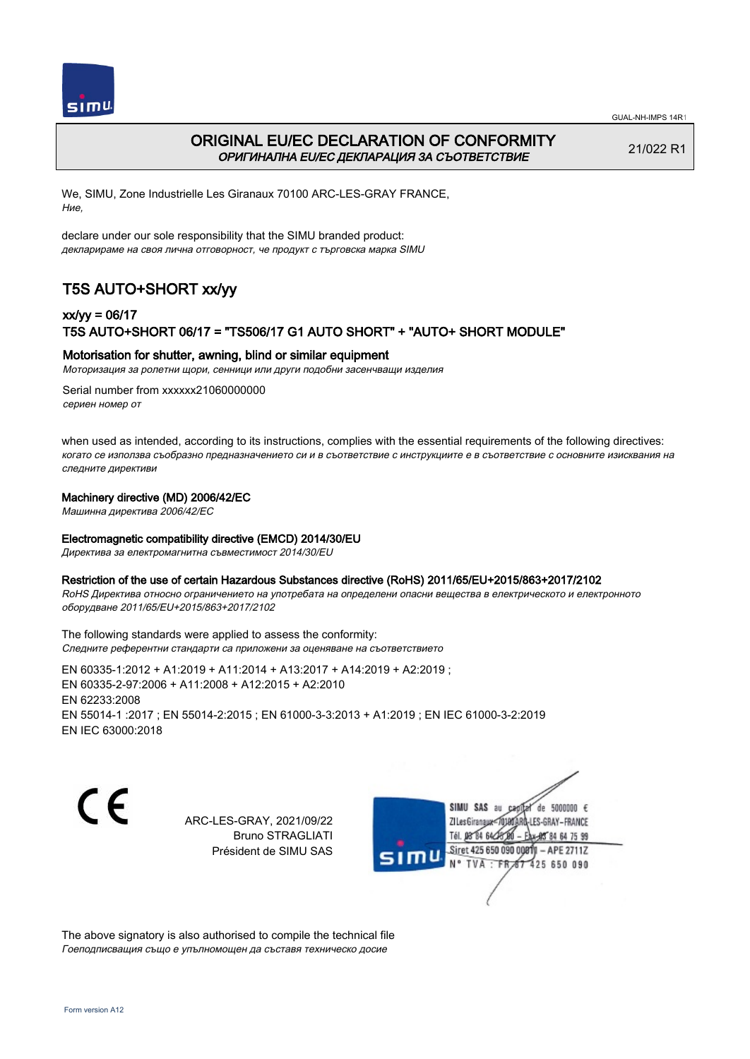



# ORIGINAL EU/EC DECLARATION OF CONFORMITY ОРИГИНАЛНА EU/EC ДЕКЛАРАЦИЯ ЗА СЪОТВЕТСТВИЕ

21/022 R1

We, SIMU, Zone Industrielle Les Giranaux 70100 ARC-LES-GRAY FRANCE, Ние,

declare under our sole responsibility that the SIMU branded product: декларираме на своя лична отговорност, че продукт с търговска марка SIMU

# T5S AUTO+SHORT xx/yy

## xx/yy = 06/17 T5S AUTO+SHORT 06/17 = "TS506/17 G1 AUTO SHORT" + "AUTO+ SHORT MODULE"

### Motorisation for shutter, awning, blind or similar equipment

Моторизация за ролетни щори, сенници или други подобни засенчващи изделия

Serial number from xxxxxx21060000000 сериен номер от

when used as intended, according to its instructions, complies with the essential requirements of the following directives: когато се използва съобразно предназначението си и в съответствие с инструкциите е в съответствие с основните изисквания на следните директиви

#### Machinery directive (MD) 2006/42/EC

Машинна директива 2006/42/EC

#### Electromagnetic compatibility directive (EMCD) 2014/30/EU

Директива за електромагнитна съвместимост 2014/30/EU

#### Restriction of the use of certain Hazardous Substances directive (RoHS) 2011/65/EU+2015/863+2017/2102

RoHS Директива относно ограничението на употребата на определени опасни вещества в електрическото и електронното оборудване 2011/65/EU+2015/863+2017/2102

The following standards were applied to assess the conformity: Следните референтни стандарти са приложени за оценяване на съответствието

EN 60335‑1:2012 + A1:2019 + A11:2014 + A13:2017 + A14:2019 + A2:2019 ; EN 60335‑2‑97:2006 + A11:2008 + A12:2015 + A2:2010 EN 62233:2008 EN 55014‑1 :2017 ; EN 55014‑2:2015 ; EN 61000‑3‑3:2013 + A1:2019 ; EN IEC 61000‑3‑2:2019 EN IEC 63000:2018

C F

ARC-LES-GRAY, 2021/09/22 Bruno STRAGLIATI Président de SIMU SAS



The above signatory is also authorised to compile the technical file Гоеподписващия също е упълномощен да съставя техническо досие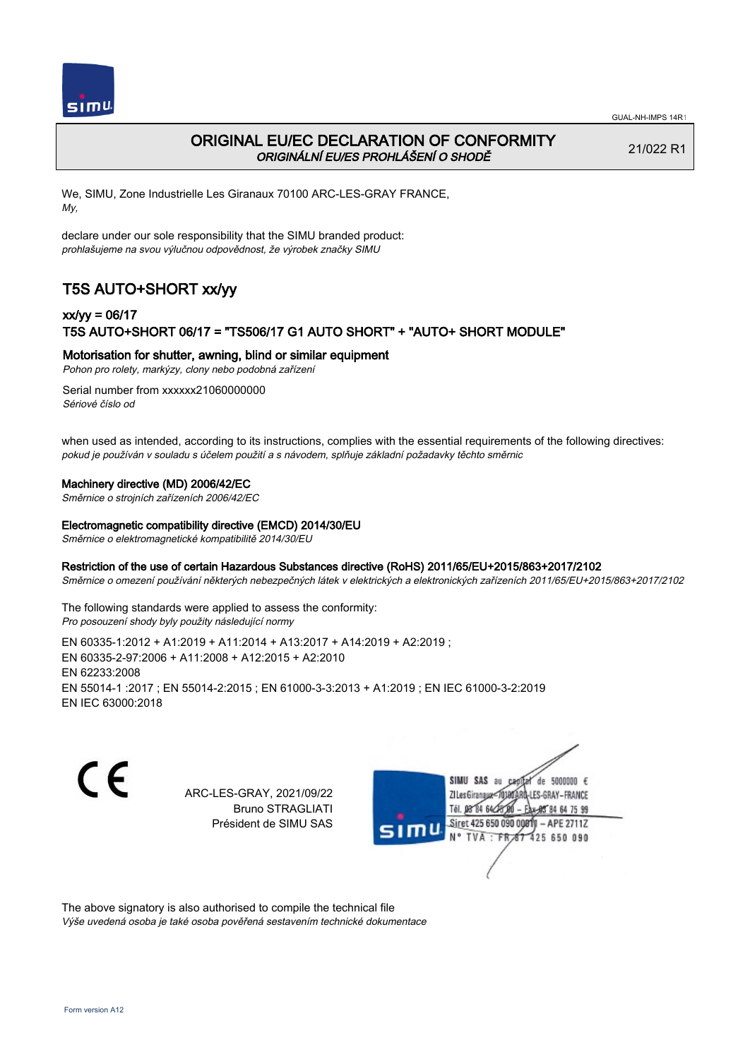

# ORIGINAL EU/EC DECLARATION OF CONFORMITY ORIGINÁLNÍ EU/ES PROHLÁŠENÍ O SHODĚ

21/022 R1

We, SIMU, Zone Industrielle Les Giranaux 70100 ARC-LES-GRAY FRANCE, My,

declare under our sole responsibility that the SIMU branded product: prohlašujeme na svou výlučnou odpovědnost, že výrobek značky SIMU

# T5S AUTO+SHORT xx/yy

## xx/yy = 06/17 T5S AUTO+SHORT 06/17 = "TS506/17 G1 AUTO SHORT" + "AUTO+ SHORT MODULE"

### Motorisation for shutter, awning, blind or similar equipment

Pohon pro rolety, markýzy, clony nebo podobná zařízení

Serial number from xxxxxx21060000000 Sériové číslo od

when used as intended, according to its instructions, complies with the essential requirements of the following directives: pokud je používán v souladu s účelem použití a s návodem, splňuje základní požadavky těchto směrnic

#### Machinery directive (MD) 2006/42/EC

Směrnice o strojních zařízeních 2006/42/EC

#### Electromagnetic compatibility directive (EMCD) 2014/30/EU

Směrnice o elektromagnetické kompatibilitě 2014/30/EU

#### Restriction of the use of certain Hazardous Substances directive (RoHS) 2011/65/EU+2015/863+2017/2102

Směrnice o omezení používání některých nebezpečných látek v elektrických a elektronických zařízeních 2011/65/EU+2015/863+2017/2102

The following standards were applied to assess the conformity: Pro posouzení shody byly použity následující normy

EN 60335‑1:2012 + A1:2019 + A11:2014 + A13:2017 + A14:2019 + A2:2019 ; EN 60335‑2‑97:2006 + A11:2008 + A12:2015 + A2:2010 EN 62233:2008 EN 55014‑1 :2017 ; EN 55014‑2:2015 ; EN 61000‑3‑3:2013 + A1:2019 ; EN IEC 61000‑3‑2:2019 EN IEC 63000:2018

C E

ARC-LES-GRAY, 2021/09/22 Bruno STRAGLIATI Président de SIMU SAS



The above signatory is also authorised to compile the technical file

Výše uvedená osoba je také osoba pověřená sestavením technické dokumentace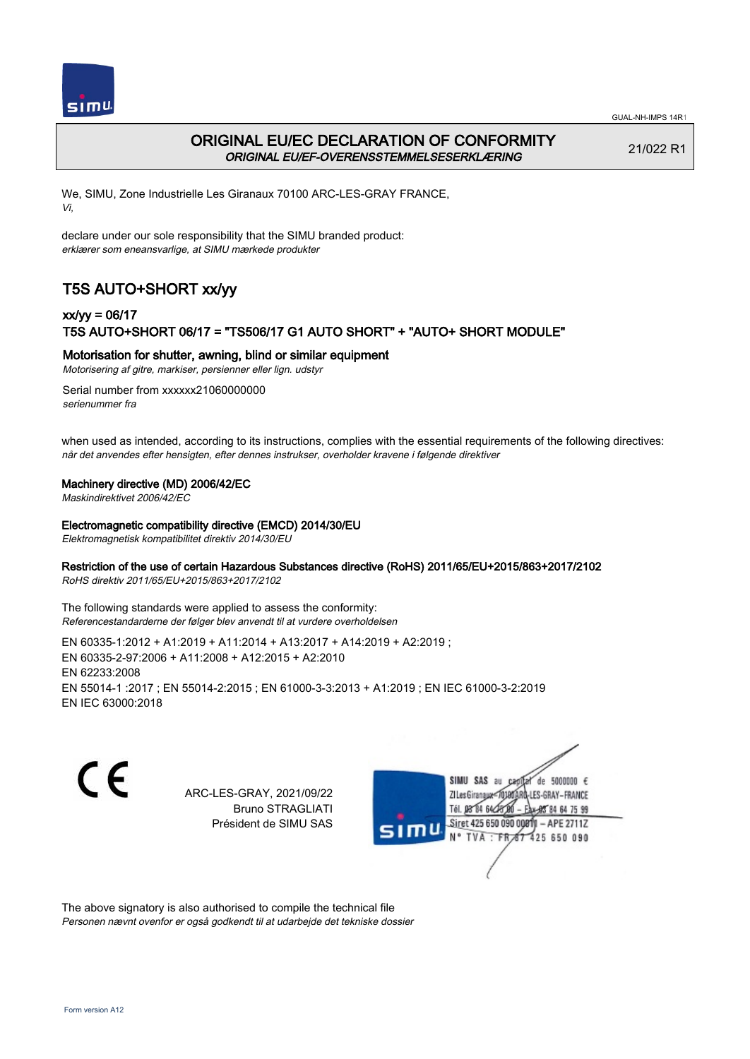



## ORIGINAL EU/EC DECLARATION OF CONFORMITY ORIGINAL EU/EF-OVERENSSTEMMELSESERKLÆRING

21/022 R1

We, SIMU, Zone Industrielle Les Giranaux 70100 ARC-LES-GRAY FRANCE, Vi,

declare under our sole responsibility that the SIMU branded product: erklærer som eneansvarlige, at SIMU mærkede produkter

# T5S AUTO+SHORT xx/yy

## xx/yy = 06/17 T5S AUTO+SHORT 06/17 = "TS506/17 G1 AUTO SHORT" + "AUTO+ SHORT MODULE"

### Motorisation for shutter, awning, blind or similar equipment

Motorisering af gitre, markiser, persienner eller lign. udstyr

Serial number from xxxxxx21060000000 serienummer fra

when used as intended, according to its instructions, complies with the essential requirements of the following directives: når det anvendes efter hensigten, efter dennes instrukser, overholder kravene i følgende direktiver

#### Machinery directive (MD) 2006/42/EC

Maskindirektivet 2006/42/EC

#### Electromagnetic compatibility directive (EMCD) 2014/30/EU

Elektromagnetisk kompatibilitet direktiv 2014/30/EU

### Restriction of the use of certain Hazardous Substances directive (RoHS) 2011/65/EU+2015/863+2017/2102

RoHS direktiv 2011/65/EU+2015/863+2017/2102

The following standards were applied to assess the conformity: Referencestandarderne der følger blev anvendt til at vurdere overholdelsen

EN 60335‑1:2012 + A1:2019 + A11:2014 + A13:2017 + A14:2019 + A2:2019 ; EN 60335‑2‑97:2006 + A11:2008 + A12:2015 + A2:2010 EN 62233:2008 EN 55014‑1 :2017 ; EN 55014‑2:2015 ; EN 61000‑3‑3:2013 + A1:2019 ; EN IEC 61000‑3‑2:2019 EN IEC 63000:2018

 $\epsilon$ 

ARC-LES-GRAY, 2021/09/22 Bruno STRAGLIATI Président de SIMU SAS



The above signatory is also authorised to compile the technical file Personen nævnt ovenfor er også godkendt til at udarbejde det tekniske dossier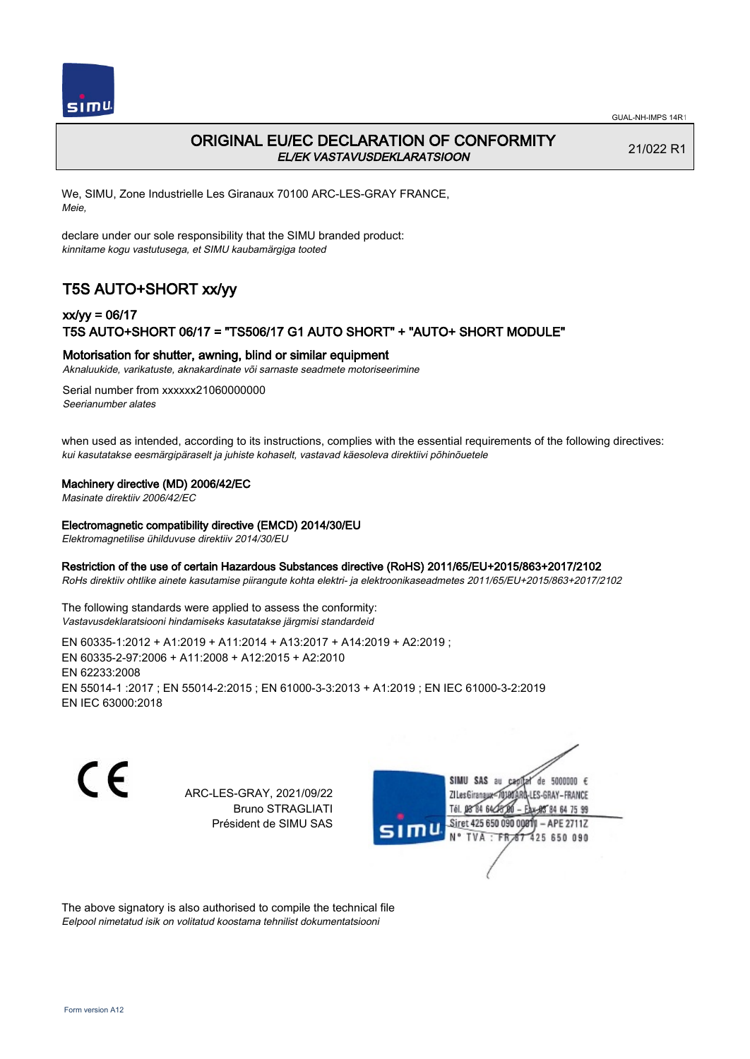

# ORIGINAL EU/EC DECLARATION OF CONFORMITY EL/EK VASTAVUSDEKLARATSIOON

21/022 R1

We, SIMU, Zone Industrielle Les Giranaux 70100 ARC-LES-GRAY FRANCE, Meie,

declare under our sole responsibility that the SIMU branded product: kinnitame kogu vastutusega, et SIMU kaubamärgiga tooted

# T5S AUTO+SHORT xx/yy

## xx/yy = 06/17 T5S AUTO+SHORT 06/17 = "TS506/17 G1 AUTO SHORT" + "AUTO+ SHORT MODULE"

### Motorisation for shutter, awning, blind or similar equipment

Aknaluukide, varikatuste, aknakardinate või sarnaste seadmete motoriseerimine

Serial number from xxxxxx21060000000 Seerianumber alates

when used as intended, according to its instructions, complies with the essential requirements of the following directives: kui kasutatakse eesmärgipäraselt ja juhiste kohaselt, vastavad käesoleva direktiivi põhinõuetele

### Machinery directive (MD) 2006/42/EC

Masinate direktiiv 2006/42/EC

#### Electromagnetic compatibility directive (EMCD) 2014/30/EU

Elektromagnetilise ühilduvuse direktiiv 2014/30/EU

#### Restriction of the use of certain Hazardous Substances directive (RoHS) 2011/65/EU+2015/863+2017/2102

RoHs direktiiv ohtlike ainete kasutamise piirangute kohta elektri- ja elektroonikaseadmetes 2011/65/EU+2015/863+2017/2102

The following standards were applied to assess the conformity: Vastavusdeklaratsiooni hindamiseks kasutatakse järgmisi standardeid

EN 60335‑1:2012 + A1:2019 + A11:2014 + A13:2017 + A14:2019 + A2:2019 ; EN 60335‑2‑97:2006 + A11:2008 + A12:2015 + A2:2010 EN 62233:2008 EN 55014‑1 :2017 ; EN 55014‑2:2015 ; EN 61000‑3‑3:2013 + A1:2019 ; EN IEC 61000‑3‑2:2019 EN IEC 63000:2018

C E

ARC-LES-GRAY, 2021/09/22 Bruno STRAGLIATI Président de SIMU SAS



The above signatory is also authorised to compile the technical file Eelpool nimetatud isik on volitatud koostama tehnilist dokumentatsiooni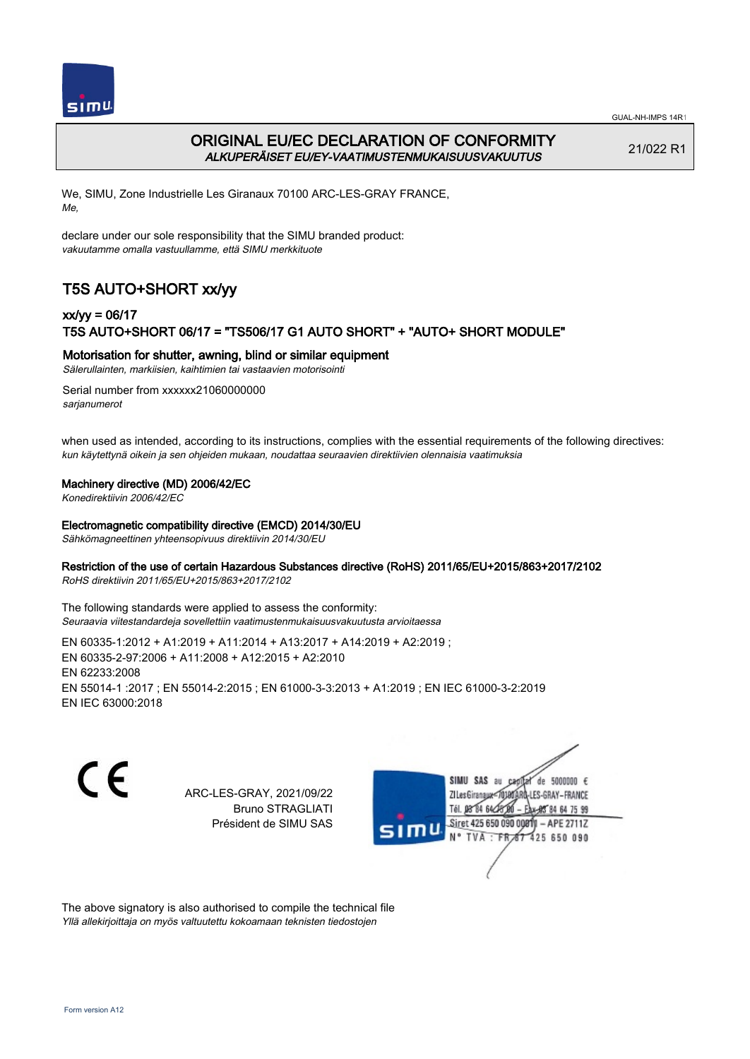

# ORIGINAL EU/EC DECLARATION OF CONFORMITY ALKUPERÄISET EU/EY-VAATIMUSTENMUKAISUUSVAKUUTUS

21/022 R1

We, SIMU, Zone Industrielle Les Giranaux 70100 ARC-LES-GRAY FRANCE, Me,

declare under our sole responsibility that the SIMU branded product: vakuutamme omalla vastuullamme, että SIMU merkkituote

# T5S AUTO+SHORT xx/yy

## xx/yy = 06/17 T5S AUTO+SHORT 06/17 = "TS506/17 G1 AUTO SHORT" + "AUTO+ SHORT MODULE"

Motorisation for shutter, awning, blind or similar equipment

Sälerullainten, markiisien, kaihtimien tai vastaavien motorisointi

Serial number from xxxxxx21060000000 sarianumerot

when used as intended, according to its instructions, complies with the essential requirements of the following directives: kun käytettynä oikein ja sen ohjeiden mukaan, noudattaa seuraavien direktiivien olennaisia vaatimuksia

### Machinery directive (MD) 2006/42/EC

Konedirektiivin 2006/42/EC

#### Electromagnetic compatibility directive (EMCD) 2014/30/EU

Sähkömagneettinen yhteensopivuus direktiivin 2014/30/EU

### Restriction of the use of certain Hazardous Substances directive (RoHS) 2011/65/EU+2015/863+2017/2102

RoHS direktiivin 2011/65/EU+2015/863+2017/2102

The following standards were applied to assess the conformity: Seuraavia viitestandardeja sovellettiin vaatimustenmukaisuusvakuutusta arvioitaessa

EN 60335‑1:2012 + A1:2019 + A11:2014 + A13:2017 + A14:2019 + A2:2019 ; EN 60335‑2‑97:2006 + A11:2008 + A12:2015 + A2:2010 EN 62233:2008 EN 55014‑1 :2017 ; EN 55014‑2:2015 ; EN 61000‑3‑3:2013 + A1:2019 ; EN IEC 61000‑3‑2:2019 EN IEC 63000:2018

C F

ARC-LES-GRAY, 2021/09/22 Bruno STRAGLIATI Président de SIMU SAS



The above signatory is also authorised to compile the technical file Yllä allekirjoittaja on myös valtuutettu kokoamaan teknisten tiedostojen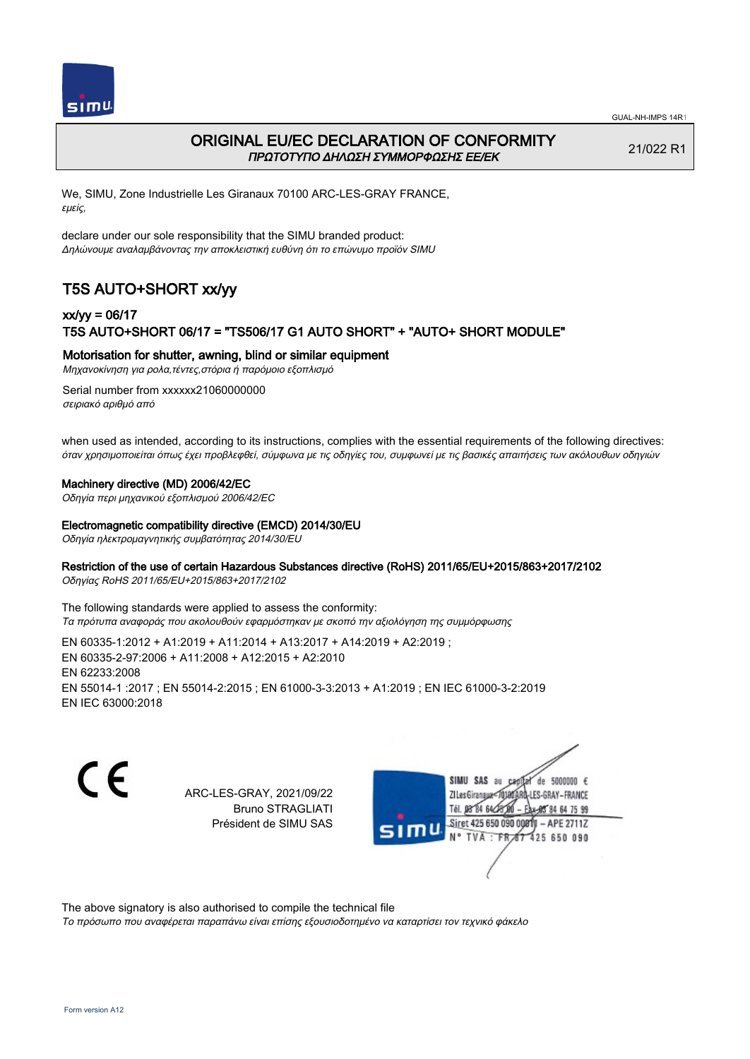



# ORIGINAL EU/EC DECLARATION OF CONFORMITY ΠΡΩΤΟΤΥΠΟ ΔΗΛΩΣΗ ΣΥΜΜΟΡΦΩΣΗΣ ΕΕ/EK

21/022 R1

We, SIMU, Zone Industrielle Les Giranaux 70100 ARC-LES-GRAY FRANCE, εμείς,

declare under our sole responsibility that the SIMU branded product: Δηλώνουμε αναλαμβάνοντας την αποκλειστική ευθύνη ότι το επώνυμο προϊόν SIMU

# T5S AUTO+SHORT xx/yy

## xx/yy = 06/17 T5S AUTO+SHORT 06/17 = "TS506/17 G1 AUTO SHORT" + "AUTO+ SHORT MODULE"

Motorisation for shutter, awning, blind or similar equipment

Μηχανοκίνηση για ρολα,τέντες,στόρια ή παρόμοιο εξοπλισμό

Serial number from xxxxxx21060000000 σειριακό αριθμό από

when used as intended, according to its instructions, complies with the essential requirements of the following directives: όταν χρησιμοποιείται όπως έχει προβλεφθεί, σύμφωνα με τις οδηγίες του, συμφωνεί με τις βασικές απαιτήσεις των ακόλουθων οδηγιών

### Machinery directive (MD) 2006/42/EC

Οδηγία περι μηχανικού εξοπλισμού 2006/42/EC

### Electromagnetic compatibility directive (EMCD) 2014/30/EU

Οδηγία ηλεκτρομαγνητικής συμβατότητας 2014/30/EU

### Restriction of the use of certain Hazardous Substances directive (RoHS) 2011/65/EU+2015/863+2017/2102

Οδηγίας RoHS 2011/65/EU+2015/863+2017/2102

The following standards were applied to assess the conformity: Τα πρότυπα αναφοράς που ακολουθούν εφαρμόστηκαν με σκοπό την αξιολόγηση της συμμόρφωσης

EN 60335‑1:2012 + A1:2019 + A11:2014 + A13:2017 + A14:2019 + A2:2019 ; EN 60335‑2‑97:2006 + A11:2008 + A12:2015 + A2:2010 EN 62233:2008 EN 55014‑1 :2017 ; EN 55014‑2:2015 ; EN 61000‑3‑3:2013 + A1:2019 ; EN IEC 61000‑3‑2:2019 EN IEC 63000:2018

C E

ARC-LES-GRAY, 2021/09/22 Bruno STRAGLIATI Président de SIMU SAS

de 5000000  $\epsilon$ **ZILes Giranaux** ES-GRAY-FRANCE Tél. 08 84 64 28 85 84 64 75 99 Siret 425 650 090 00811 - APE 2711Z 425 650 090 **TVA** 

The above signatory is also authorised to compile the technical file

Το πρόσωπο που αναφέρεται παραπάνω είναι επίσης εξουσιοδοτημένο να καταρτίσει τον τεχνικό φάκελο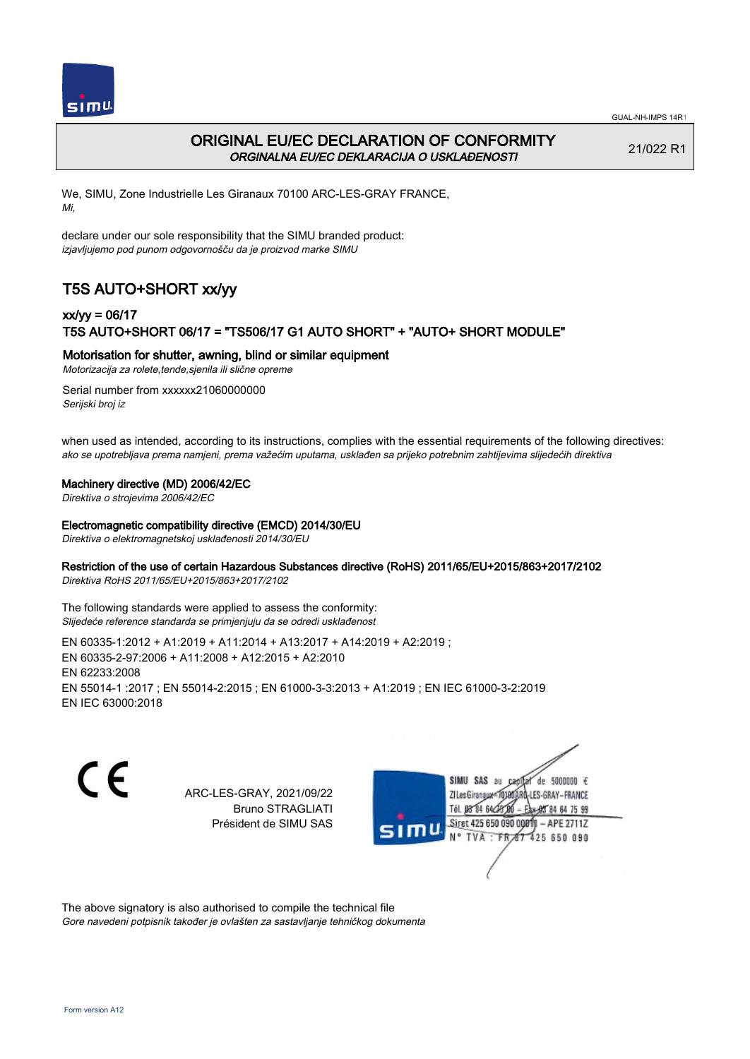

# ORIGINAL EU/EC DECLARATION OF CONFORMITY ORGINALNA EU/EC DEKLARACIJA O USKLAĐENOSTI

21/022 R1

We, SIMU, Zone Industrielle Les Giranaux 70100 ARC-LES-GRAY FRANCE, Mi,

declare under our sole responsibility that the SIMU branded product: izjavljujemo pod punom odgovornošču da je proizvod marke SIMU

# T5S AUTO+SHORT xx/yy

## xx/yy = 06/17 T5S AUTO+SHORT 06/17 = "TS506/17 G1 AUTO SHORT" + "AUTO+ SHORT MODULE"

### Motorisation for shutter, awning, blind or similar equipment

Motorizacija za rolete,tende,sjenila ili slične opreme

Serial number from xxxxxx21060000000 Serijski broj iz

when used as intended, according to its instructions, complies with the essential requirements of the following directives: ako se upotrebljava prema namjeni, prema važećim uputama, usklađen sa prijeko potrebnim zahtijevima slijedećih direktiva

### Machinery directive (MD) 2006/42/EC

Direktiva o strojevima 2006/42/EC

#### Electromagnetic compatibility directive (EMCD) 2014/30/EU

Direktiva o elektromagnetskoj usklađenosti 2014/30/EU

### Restriction of the use of certain Hazardous Substances directive (RoHS) 2011/65/EU+2015/863+2017/2102

Direktiva RoHS 2011/65/EU+2015/863+2017/2102

The following standards were applied to assess the conformity: Slijedeće reference standarda se primjenjuju da se odredi usklađenost

EN 60335‑1:2012 + A1:2019 + A11:2014 + A13:2017 + A14:2019 + A2:2019 ; EN 60335‑2‑97:2006 + A11:2008 + A12:2015 + A2:2010 EN 62233:2008 EN 55014‑1 :2017 ; EN 55014‑2:2015 ; EN 61000‑3‑3:2013 + A1:2019 ; EN IEC 61000‑3‑2:2019 EN IEC 63000:2018

C F

ARC-LES-GRAY, 2021/09/22 Bruno STRAGLIATI Président de SIMU SAS



The above signatory is also authorised to compile the technical file Gore navedeni potpisnik također je ovlašten za sastavljanje tehničkog dokumenta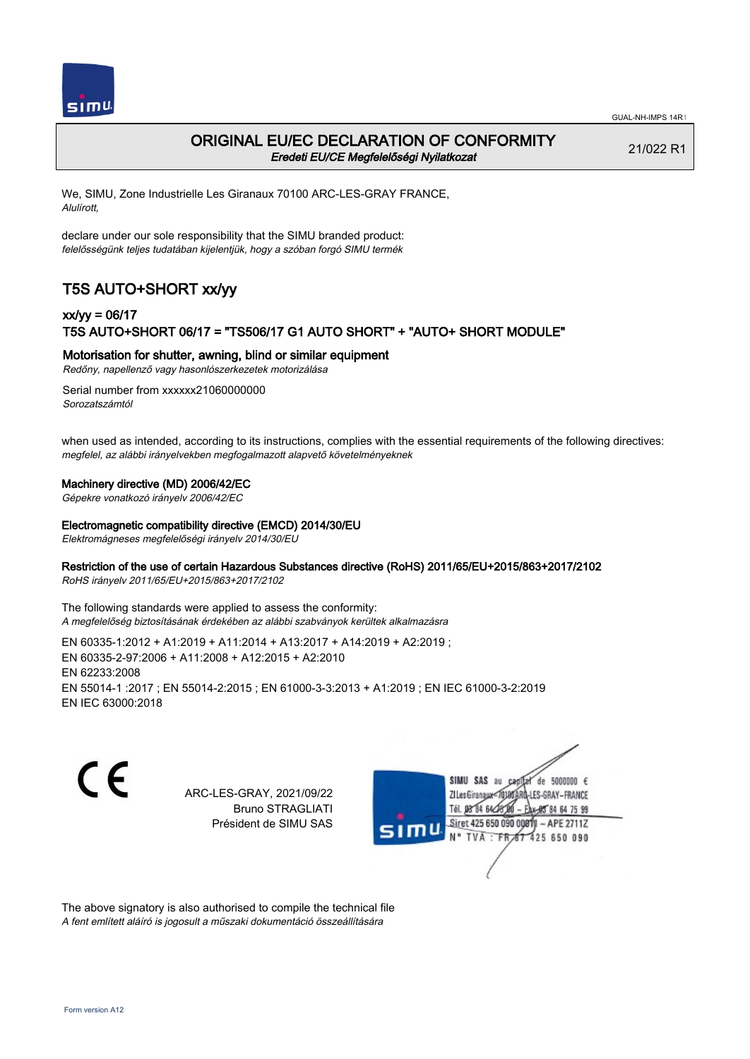

### ORIGINAL EU/EC DECLARATION OF CONFORMITY Eredeti EU/CE Megfelelőségi Nyilatkozat

21/022 R1

We, SIMU, Zone Industrielle Les Giranaux 70100 ARC-LES-GRAY FRANCE, Alulírott,

declare under our sole responsibility that the SIMU branded product: felelősségünk teljes tudatában kijelentjük, hogy a szóban forgó SIMU termék

# T5S AUTO+SHORT xx/yy

## xx/yy = 06/17 T5S AUTO+SHORT 06/17 = "TS506/17 G1 AUTO SHORT" + "AUTO+ SHORT MODULE"

Motorisation for shutter, awning, blind or similar equipment

Redőny, napellenző vagy hasonlószerkezetek motorizálása

Serial number from xxxxxx21060000000 Sorozatszámtól

when used as intended, according to its instructions, complies with the essential requirements of the following directives: megfelel, az alábbi irányelvekben megfogalmazott alapvető követelményeknek

#### Machinery directive (MD) 2006/42/EC

Gépekre vonatkozó irányelv 2006/42/EC

#### Electromagnetic compatibility directive (EMCD) 2014/30/EU

Elektromágneses megfelelőségi irányelv 2014/30/EU

### Restriction of the use of certain Hazardous Substances directive (RoHS) 2011/65/EU+2015/863+2017/2102

RoHS irányelv 2011/65/EU+2015/863+2017/2102

The following standards were applied to assess the conformity: A megfelelőség biztosításának érdekében az alábbi szabványok kerültek alkalmazásra

EN 60335‑1:2012 + A1:2019 + A11:2014 + A13:2017 + A14:2019 + A2:2019 ; EN 60335‑2‑97:2006 + A11:2008 + A12:2015 + A2:2010 EN 62233:2008 EN 55014‑1 :2017 ; EN 55014‑2:2015 ; EN 61000‑3‑3:2013 + A1:2019 ; EN IEC 61000‑3‑2:2019 EN IEC 63000:2018

C F

ARC-LES-GRAY, 2021/09/22 Bruno STRAGLIATI Président de SIMU SAS



The above signatory is also authorised to compile the technical file A fent említett aláíró is jogosult a műszaki dokumentáció összeállítására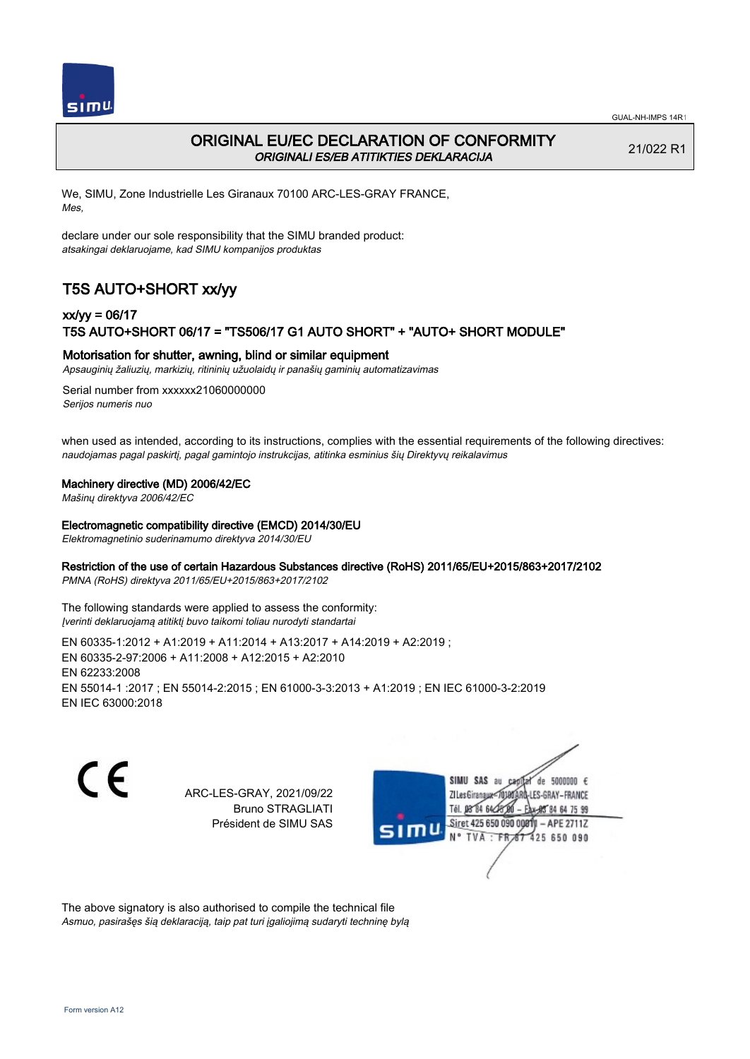

# ORIGINAL EU/EC DECLARATION OF CONFORMITY ORIGINALI ES/EB ATITIKTIES DEKLARACIJA

21/022 R1

We, SIMU, Zone Industrielle Les Giranaux 70100 ARC-LES-GRAY FRANCE, Mes,

declare under our sole responsibility that the SIMU branded product: atsakingai deklaruojame, kad SIMU kompanijos produktas

# T5S AUTO+SHORT xx/yy

## xx/yy = 06/17 T5S AUTO+SHORT 06/17 = "TS506/17 G1 AUTO SHORT" + "AUTO+ SHORT MODULE"

### Motorisation for shutter, awning, blind or similar equipment

Apsauginių žaliuzių, markizių, ritininių užuolaidų ir panašių gaminių automatizavimas

Serial number from xxxxxx21060000000 Serijos numeris nuo

when used as intended, according to its instructions, complies with the essential requirements of the following directives: naudojamas pagal paskirtį, pagal gamintojo instrukcijas, atitinka esminius šių Direktyvų reikalavimus

### Machinery directive (MD) 2006/42/EC

Mašinų direktyva 2006/42/EC

#### Electromagnetic compatibility directive (EMCD) 2014/30/EU

Elektromagnetinio suderinamumo direktyva 2014/30/EU

### Restriction of the use of certain Hazardous Substances directive (RoHS) 2011/65/EU+2015/863+2017/2102

PMNA (RoHS) direktyva 2011/65/EU+2015/863+2017/2102

The following standards were applied to assess the conformity: Įverinti deklaruojamą atitiktį buvo taikomi toliau nurodyti standartai

EN 60335‑1:2012 + A1:2019 + A11:2014 + A13:2017 + A14:2019 + A2:2019 ; EN 60335‑2‑97:2006 + A11:2008 + A12:2015 + A2:2010 EN 62233:2008 EN 55014‑1 :2017 ; EN 55014‑2:2015 ; EN 61000‑3‑3:2013 + A1:2019 ; EN IEC 61000‑3‑2:2019 EN IEC 63000:2018

C F

ARC-LES-GRAY, 2021/09/22 Bruno STRAGLIATI Président de SIMU SAS



The above signatory is also authorised to compile the technical file Asmuo, pasirašęs šią deklaraciją, taip pat turi įgaliojimą sudaryti techninę bylą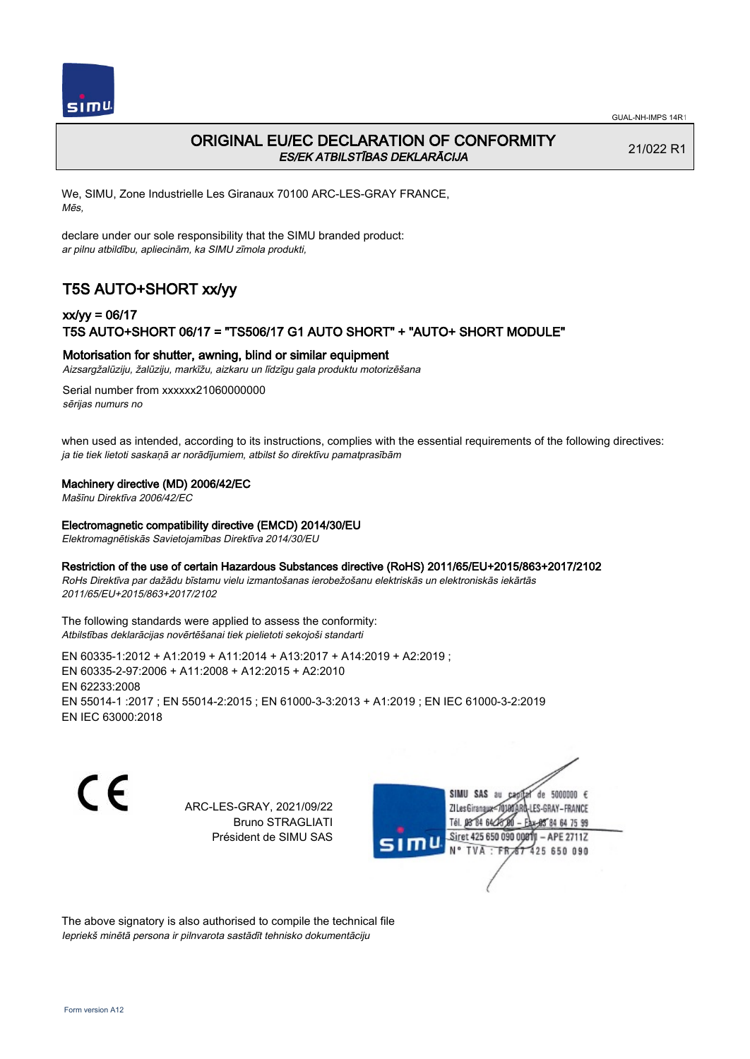

# ORIGINAL EU/EC DECLARATION OF CONFORMITY ES/EK ATBILSTĪBAS DEKLARĀCIJA

21/022 R1

We, SIMU, Zone Industrielle Les Giranaux 70100 ARC-LES-GRAY FRANCE, Mēs,

declare under our sole responsibility that the SIMU branded product: ar pilnu atbildību, apliecinām, ka SIMU zīmola produkti,

# T5S AUTO+SHORT xx/yy

## xx/yy = 06/17 T5S AUTO+SHORT 06/17 = "TS506/17 G1 AUTO SHORT" + "AUTO+ SHORT MODULE"

### Motorisation for shutter, awning, blind or similar equipment

Aizsargžalūziju, žalūziju, markīžu, aizkaru un līdzīgu gala produktu motorizēšana

Serial number from xxxxxx21060000000 sērijas numurs no

when used as intended, according to its instructions, complies with the essential requirements of the following directives: ja tie tiek lietoti saskaņā ar norādījumiem, atbilst šo direktīvu pamatprasībām

### Machinery directive (MD) 2006/42/EC

Mašīnu Direktīva 2006/42/EC

#### Electromagnetic compatibility directive (EMCD) 2014/30/EU

Elektromagnētiskās Savietojamības Direktīva 2014/30/EU

#### Restriction of the use of certain Hazardous Substances directive (RoHS) 2011/65/EU+2015/863+2017/2102

RoHs Direktīva par dažādu bīstamu vielu izmantošanas ierobežošanu elektriskās un elektroniskās iekārtās 2011/65/EU+2015/863+2017/2102

The following standards were applied to assess the conformity: Atbilstības deklarācijas novērtēšanai tiek pielietoti sekojoši standarti

EN 60335‑1:2012 + A1:2019 + A11:2014 + A13:2017 + A14:2019 + A2:2019 ; EN 60335‑2‑97:2006 + A11:2008 + A12:2015 + A2:2010 EN 62233:2008 EN 55014‑1 :2017 ; EN 55014‑2:2015 ; EN 61000‑3‑3:2013 + A1:2019 ; EN IEC 61000‑3‑2:2019 EN IEC 63000:2018

C E

ARC-LES-GRAY, 2021/09/22 Bruno STRAGLIATI Président de SIMU SAS

SIMU SAS de 5000000  $\epsilon$ **ZILesGiranaux** ES-GRAY-FRANCE 64 75 99 Siret 425 650 090 00811  $-$  APE 2711Z **TVA** 425 650 090

The above signatory is also authorised to compile the technical file Iepriekš minētā persona ir pilnvarota sastādīt tehnisko dokumentāciju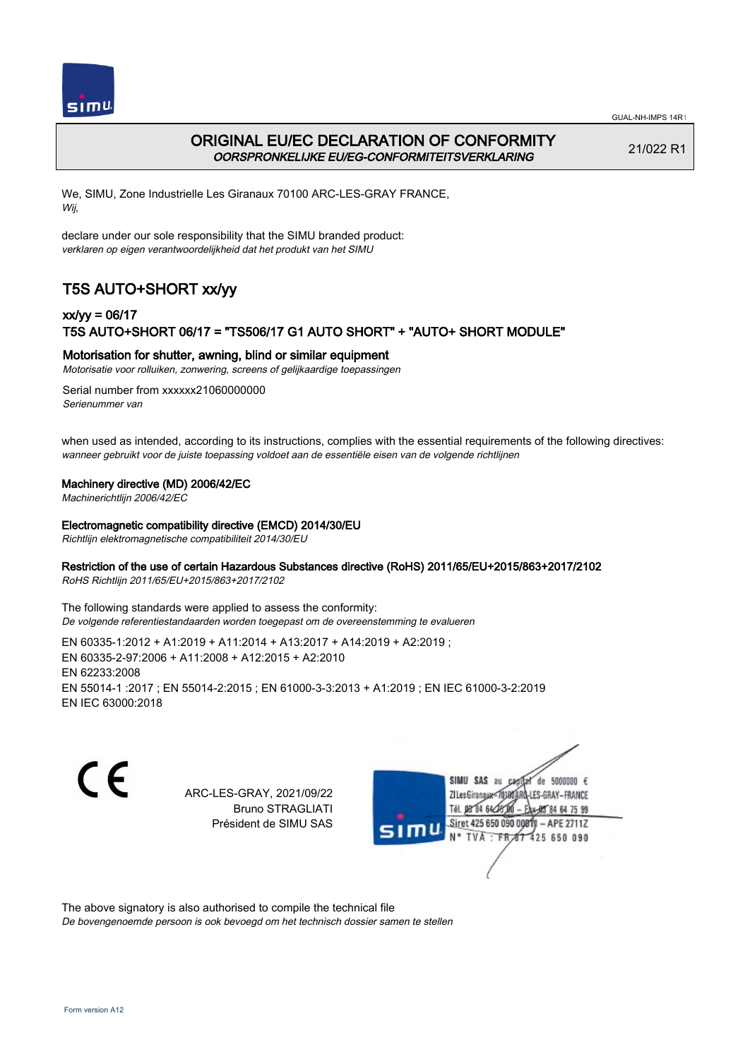

# ORIGINAL EU/EC DECLARATION OF CONFORMITY OORSPRONKELIJKE EU/EG-CONFORMITEITSVERKLARING

21/022 R1

We, SIMU, Zone Industrielle Les Giranaux 70100 ARC-LES-GRAY FRANCE, Wij,

declare under our sole responsibility that the SIMU branded product: verklaren op eigen verantwoordelijkheid dat het produkt van het SIMU

# T5S AUTO+SHORT xx/yy

## xx/yy = 06/17 T5S AUTO+SHORT 06/17 = "TS506/17 G1 AUTO SHORT" + "AUTO+ SHORT MODULE"

### Motorisation for shutter, awning, blind or similar equipment

Motorisatie voor rolluiken, zonwering, screens of gelijkaardige toepassingen

Serial number from xxxxxx21060000000 Serienummer van

when used as intended, according to its instructions, complies with the essential requirements of the following directives: wanneer gebruikt voor de juiste toepassing voldoet aan de essentiële eisen van de volgende richtlijnen

### Machinery directive (MD) 2006/42/EC

Machinerichtlijn 2006/42/EC

#### Electromagnetic compatibility directive (EMCD) 2014/30/EU

Richtlijn elektromagnetische compatibiliteit 2014/30/EU

### Restriction of the use of certain Hazardous Substances directive (RoHS) 2011/65/EU+2015/863+2017/2102

RoHS Richtlijn 2011/65/EU+2015/863+2017/2102

The following standards were applied to assess the conformity: De volgende referentiestandaarden worden toegepast om de overeenstemming te evalueren

EN 60335‑1:2012 + A1:2019 + A11:2014 + A13:2017 + A14:2019 + A2:2019 ; EN 60335‑2‑97:2006 + A11:2008 + A12:2015 + A2:2010 EN 62233:2008 EN 55014‑1 :2017 ; EN 55014‑2:2015 ; EN 61000‑3‑3:2013 + A1:2019 ; EN IEC 61000‑3‑2:2019 EN IEC 63000:2018

C F

ARC-LES-GRAY, 2021/09/22 Bruno STRAGLIATI Président de SIMU SAS



The above signatory is also authorised to compile the technical file

De bovengenoemde persoon is ook bevoegd om het technisch dossier samen te stellen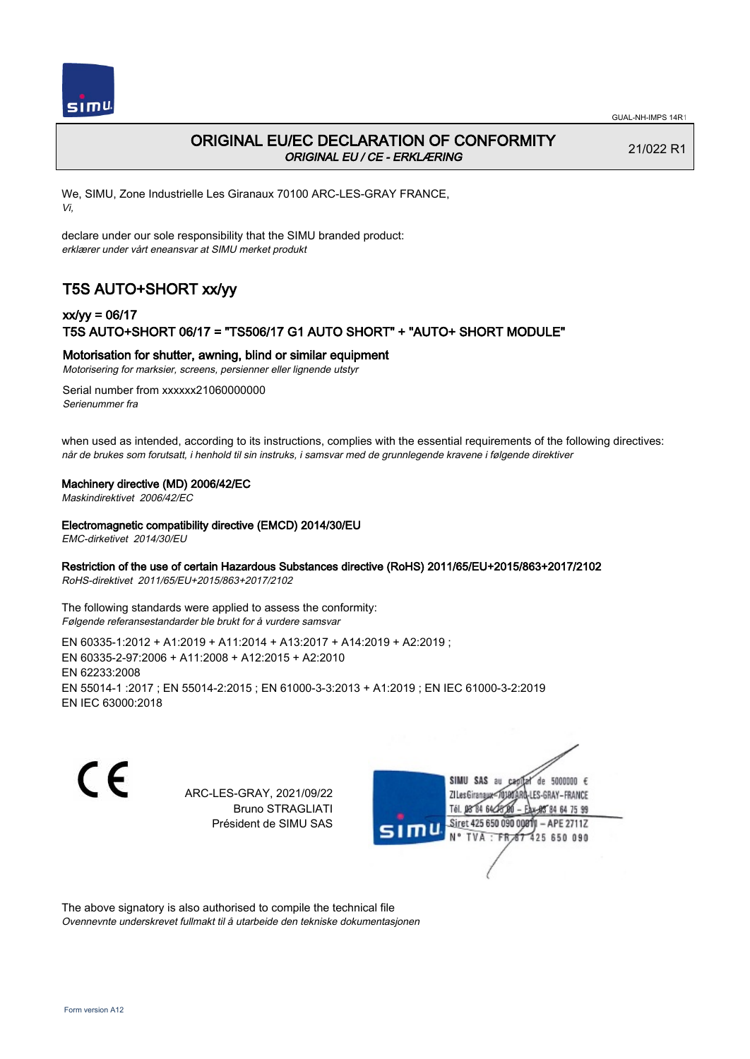

# ORIGINAL EU/EC DECLARATION OF CONFORMITY ORIGINAL EU / CE - ERKLÆRING

21/022 R1

We, SIMU, Zone Industrielle Les Giranaux 70100 ARC-LES-GRAY FRANCE, Vi,

declare under our sole responsibility that the SIMU branded product: erklærer under vårt eneansvar at SIMU merket produkt

# T5S AUTO+SHORT xx/yy

## xx/yy = 06/17 T5S AUTO+SHORT 06/17 = "TS506/17 G1 AUTO SHORT" + "AUTO+ SHORT MODULE"

### Motorisation for shutter, awning, blind or similar equipment

Motorisering for marksier, screens, persienner eller lignende utstyr

Serial number from xxxxxx21060000000 Serienummer fra

when used as intended, according to its instructions, complies with the essential requirements of the following directives: når de brukes som forutsatt, i henhold til sin instruks, i samsvar med de grunnlegende kravene i følgende direktiver

### Machinery directive (MD) 2006/42/EC

Maskindirektivet 2006/42/EC

### Electromagnetic compatibility directive (EMCD) 2014/30/EU

EMC-dirketivet 2014/30/EU

### Restriction of the use of certain Hazardous Substances directive (RoHS) 2011/65/EU+2015/863+2017/2102

RoHS-direktivet 2011/65/EU+2015/863+2017/2102

The following standards were applied to assess the conformity: Følgende referansestandarder ble brukt for å vurdere samsvar

EN 60335‑1:2012 + A1:2019 + A11:2014 + A13:2017 + A14:2019 + A2:2019 ; EN 60335‑2‑97:2006 + A11:2008 + A12:2015 + A2:2010 EN 62233:2008 EN 55014‑1 :2017 ; EN 55014‑2:2015 ; EN 61000‑3‑3:2013 + A1:2019 ; EN IEC 61000‑3‑2:2019 EN IEC 63000:2018

 $\epsilon$ 

ARC-LES-GRAY, 2021/09/22 Bruno STRAGLIATI Président de SIMU SAS

de 5000000  $\epsilon$ **ZI Les Giranaux** ES-GRAY-FRANCE Tél. 08 84 64 24 85 84 64 75 99 Siret 425 650 090 00811 - APE 2711Z 425 650 090 **TVA** 

The above signatory is also authorised to compile the technical file Ovennevnte underskrevet fullmakt til å utarbeide den tekniske dokumentasjonen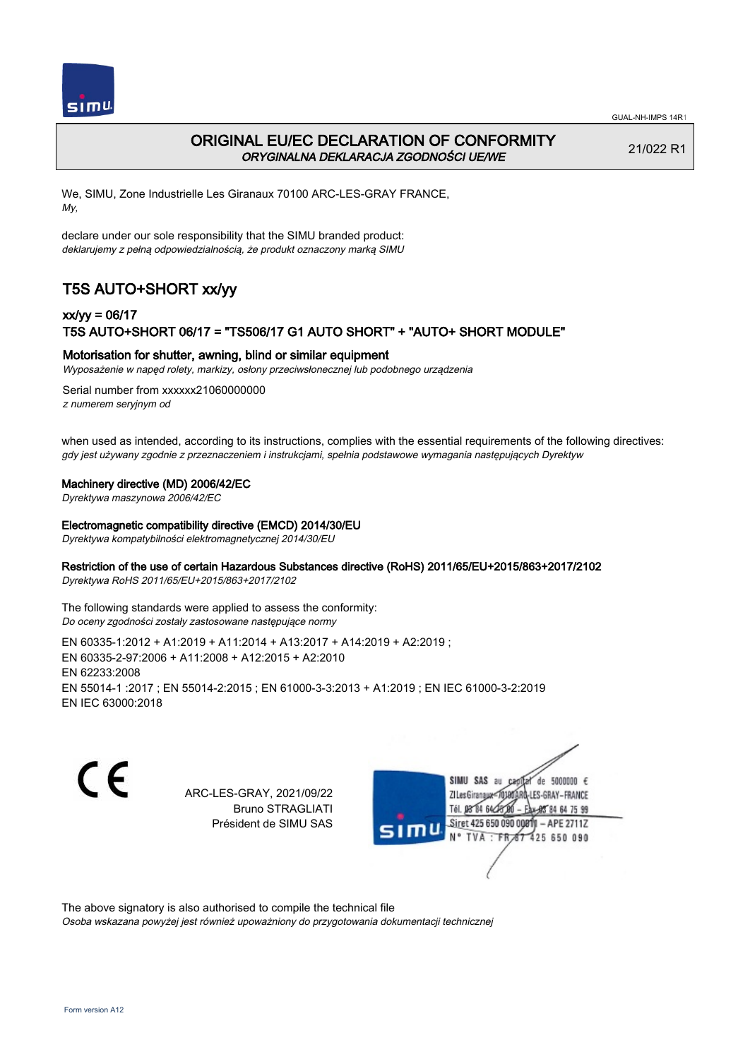

# ORIGINAL EU/EC DECLARATION OF CONFORMITY ORYGINALNA DEKLARACJA ZGODNOŚCI UE/WE

21/022 R1

We, SIMU, Zone Industrielle Les Giranaux 70100 ARC-LES-GRAY FRANCE, My,

declare under our sole responsibility that the SIMU branded product: deklarujemy z pełną odpowiedzialnością, że produkt oznaczony marką SIMU

# T5S AUTO+SHORT xx/yy

## xx/yy = 06/17 T5S AUTO+SHORT 06/17 = "TS506/17 G1 AUTO SHORT" + "AUTO+ SHORT MODULE"

### Motorisation for shutter, awning, blind or similar equipment

Wyposażenie w napęd rolety, markizy, osłony przeciwsłonecznej lub podobnego urządzenia

Serial number from xxxxxx21060000000 z numerem seryjnym od

when used as intended, according to its instructions, complies with the essential requirements of the following directives: gdy jest używany zgodnie z przeznaczeniem i instrukcjami, spełnia podstawowe wymagania następujących Dyrektyw

### Machinery directive (MD) 2006/42/EC

Dyrektywa maszynowa 2006/42/EC

### Electromagnetic compatibility directive (EMCD) 2014/30/EU

Dyrektywa kompatybilności elektromagnetycznej 2014/30/EU

### Restriction of the use of certain Hazardous Substances directive (RoHS) 2011/65/EU+2015/863+2017/2102

Dyrektywa RoHS 2011/65/EU+2015/863+2017/2102

The following standards were applied to assess the conformity: Do oceny zgodności zostały zastosowane następujące normy

EN 60335‑1:2012 + A1:2019 + A11:2014 + A13:2017 + A14:2019 + A2:2019 ; EN 60335‑2‑97:2006 + A11:2008 + A12:2015 + A2:2010 EN 62233:2008 EN 55014‑1 :2017 ; EN 55014‑2:2015 ; EN 61000‑3‑3:2013 + A1:2019 ; EN IEC 61000‑3‑2:2019 EN IEC 63000:2018

C F

ARC-LES-GRAY, 2021/09/22 Bruno STRAGLIATI Président de SIMU SAS

de 5000000  $\epsilon$ **ZILes Giranaux** ES-GRAY-FRANCE Tél. 08 84 64 24 85 84 64 75 99 Siret 425 650 090 00811 - APE 2711Z 425 650 090 TVA

The above signatory is also authorised to compile the technical file

Osoba wskazana powyżej jest również upoważniony do przygotowania dokumentacji technicznej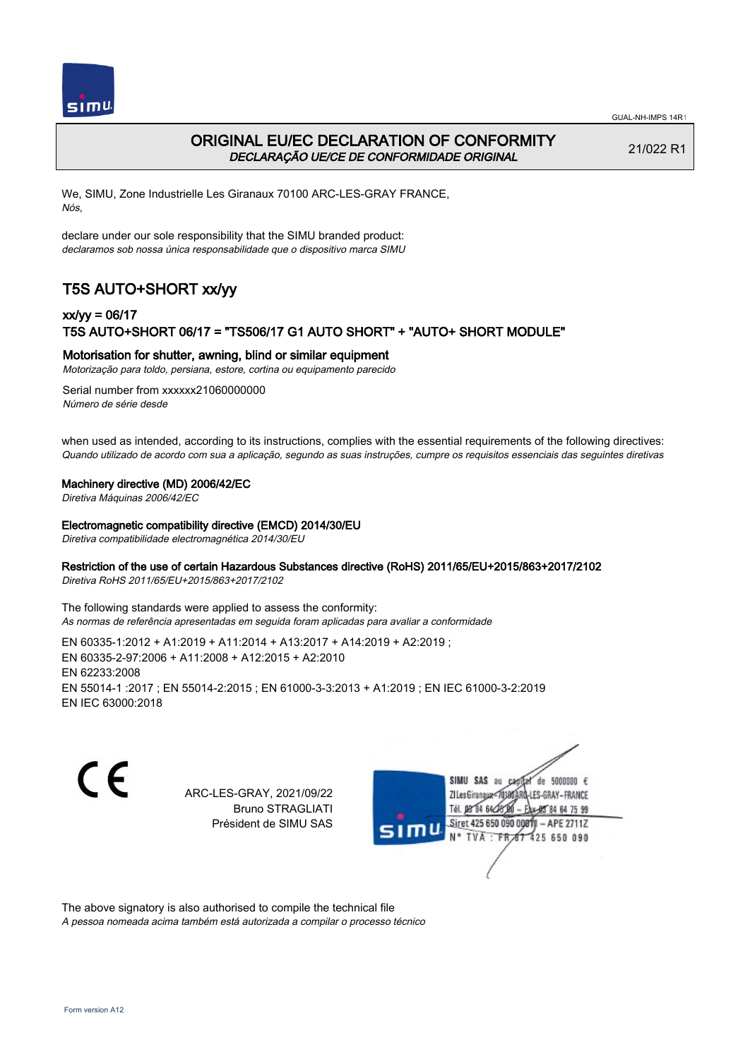



# ORIGINAL EU/EC DECLARATION OF CONFORMITY DECLARAÇÃO UE/CE DE CONFORMIDADE ORIGINAL

21/022 R1

We, SIMU, Zone Industrielle Les Giranaux 70100 ARC-LES-GRAY FRANCE, Nós,

declare under our sole responsibility that the SIMU branded product: declaramos sob nossa única responsabilidade que o dispositivo marca SIMU

# T5S AUTO+SHORT xx/yy

## xx/yy = 06/17 T5S AUTO+SHORT 06/17 = "TS506/17 G1 AUTO SHORT" + "AUTO+ SHORT MODULE"

### Motorisation for shutter, awning, blind or similar equipment

Motorização para toldo, persiana, estore, cortina ou equipamento parecido

Serial number from xxxxxx21060000000 Número de série desde

when used as intended, according to its instructions, complies with the essential requirements of the following directives: Quando utilizado de acordo com sua a aplicação, segundo as suas instruções, cumpre os requisitos essenciais das seguintes diretivas

### Machinery directive (MD) 2006/42/EC

Diretiva Máquinas 2006/42/EC

#### Electromagnetic compatibility directive (EMCD) 2014/30/EU

Diretiva compatibilidade electromagnética 2014/30/EU

### Restriction of the use of certain Hazardous Substances directive (RoHS) 2011/65/EU+2015/863+2017/2102

Diretiva RoHS 2011/65/EU+2015/863+2017/2102

The following standards were applied to assess the conformity: As normas de referência apresentadas em seguida foram aplicadas para avaliar a conformidade

EN 60335‑1:2012 + A1:2019 + A11:2014 + A13:2017 + A14:2019 + A2:2019 ; EN 60335‑2‑97:2006 + A11:2008 + A12:2015 + A2:2010 EN 62233:2008 EN 55014‑1 :2017 ; EN 55014‑2:2015 ; EN 61000‑3‑3:2013 + A1:2019 ; EN IEC 61000‑3‑2:2019 EN IEC 63000:2018

C F

ARC-LES-GRAY, 2021/09/22 Bruno STRAGLIATI Président de SIMU SAS



The above signatory is also authorised to compile the technical file

A pessoa nomeada acima também está autorizada a compilar o processo técnico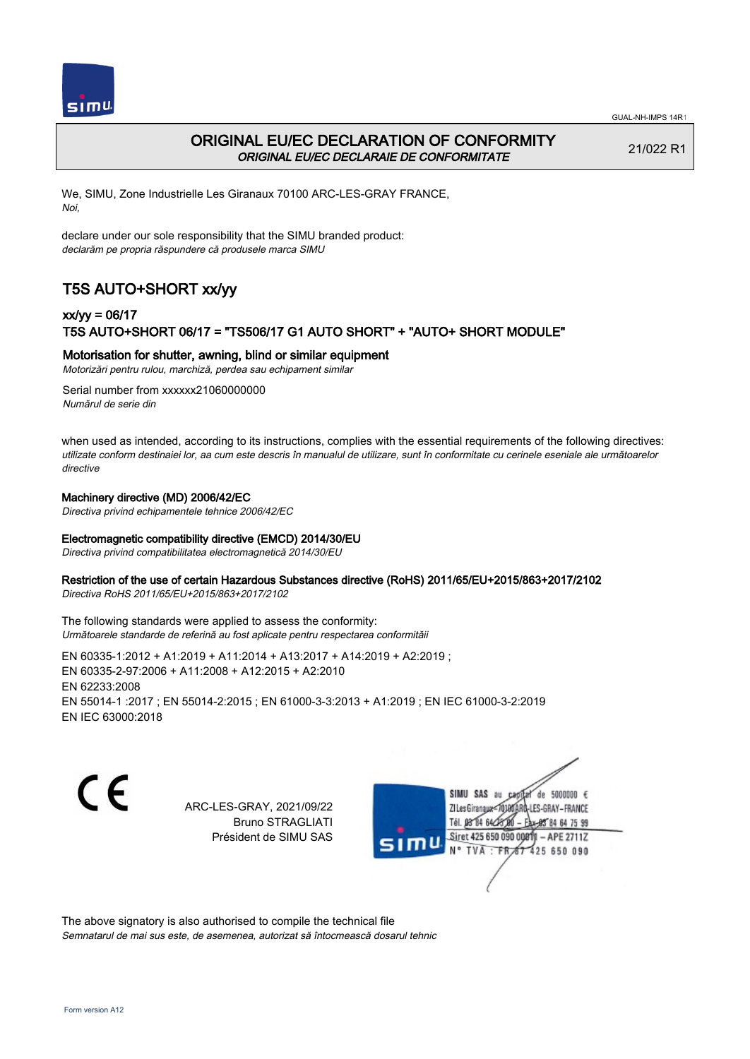



# ORIGINAL EU/EC DECLARATION OF CONFORMITY ORIGINAL EU/EC DECLARAIE DE CONFORMITATE

21/022 R1

We, SIMU, Zone Industrielle Les Giranaux 70100 ARC-LES-GRAY FRANCE, Noi,

declare under our sole responsibility that the SIMU branded product: declarăm pe propria răspundere că produsele marca SIMU

# T5S AUTO+SHORT xx/yy

## xx/yy = 06/17 T5S AUTO+SHORT 06/17 = "TS506/17 G1 AUTO SHORT" + "AUTO+ SHORT MODULE"

### Motorisation for shutter, awning, blind or similar equipment

Motorizări pentru rulou, marchiză, perdea sau echipament similar

Serial number from xxxxxx21060000000 Numărul de serie din

when used as intended, according to its instructions, complies with the essential requirements of the following directives: utilizate conform destinaiei lor, aa cum este descris în manualul de utilizare, sunt în conformitate cu cerinele eseniale ale următoarelor directive

### Machinery directive (MD) 2006/42/EC

Directiva privind echipamentele tehnice 2006/42/EC

### Electromagnetic compatibility directive (EMCD) 2014/30/EU

Directiva privind compatibilitatea electromagnetică 2014/30/EU

#### Restriction of the use of certain Hazardous Substances directive (RoHS) 2011/65/EU+2015/863+2017/2102

Directiva RoHS 2011/65/EU+2015/863+2017/2102

The following standards were applied to assess the conformity: Următoarele standarde de referină au fost aplicate pentru respectarea conformităii

EN 60335‑1:2012 + A1:2019 + A11:2014 + A13:2017 + A14:2019 + A2:2019 ; EN 60335‑2‑97:2006 + A11:2008 + A12:2015 + A2:2010 EN 62233:2008 EN 55014‑1 :2017 ; EN 55014‑2:2015 ; EN 61000‑3‑3:2013 + A1:2019 ; EN IEC 61000‑3‑2:2019 EN IEC 63000:2018

C E

ARC-LES-GRAY, 2021/09/22 Bruno STRAGLIATI Président de SIMU SAS

SIMU SAS de 5000000 € **ZILes Giranaux** ES-GRAY-FRANCE 64 75 99 Siret 425 650 090 00811  $-$  APE 2711Z 425 650 090

The above signatory is also authorised to compile the technical file Semnatarul de mai sus este, de asemenea, autorizat să întocmească dosarul tehnic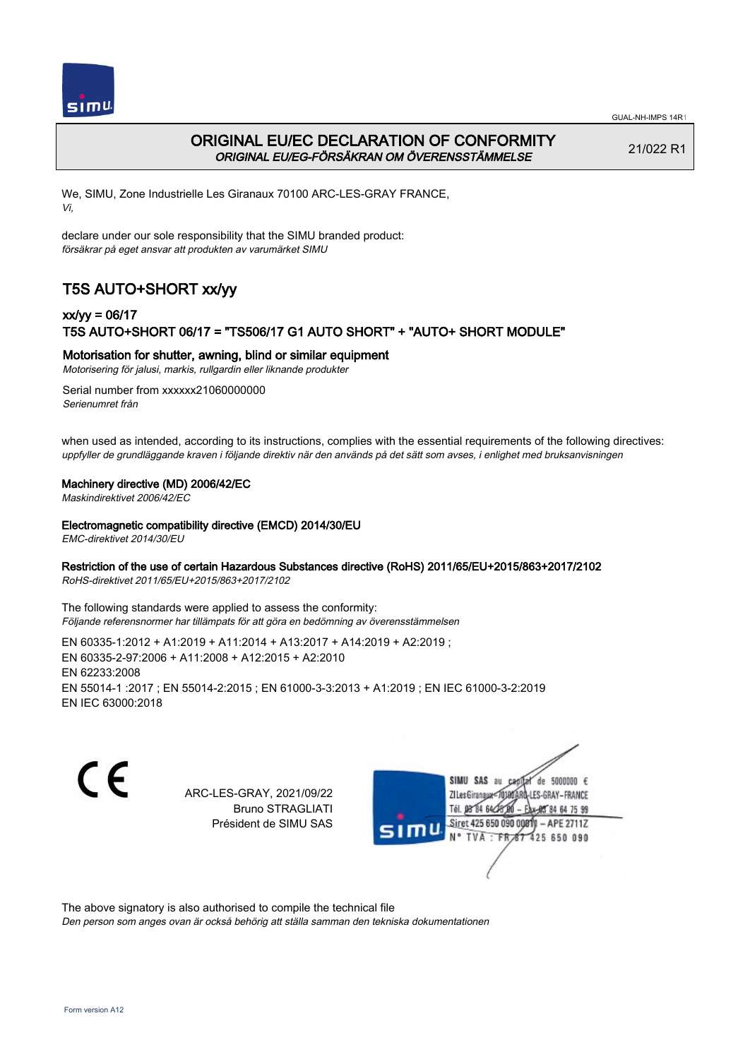

# ORIGINAL EU/EC DECLARATION OF CONFORMITY ORIGINAL EU/EG-FÖRSÄKRAN OM ÖVERENSSTÄMMELSE

21/022 R1

We, SIMU, Zone Industrielle Les Giranaux 70100 ARC-LES-GRAY FRANCE, Vi,

declare under our sole responsibility that the SIMU branded product: försäkrar på eget ansvar att produkten av varumärket SIMU

# T5S AUTO+SHORT xx/yy

## xx/yy = 06/17 T5S AUTO+SHORT 06/17 = "TS506/17 G1 AUTO SHORT" + "AUTO+ SHORT MODULE"

### Motorisation for shutter, awning, blind or similar equipment

Motorisering för jalusi, markis, rullgardin eller liknande produkter

Serial number from xxxxxx21060000000 Serienumret från

when used as intended, according to its instructions, complies with the essential requirements of the following directives: uppfyller de grundläggande kraven i följande direktiv när den används på det sätt som avses, i enlighet med bruksanvisningen

### Machinery directive (MD) 2006/42/EC

Maskindirektivet 2006/42/EC

### Electromagnetic compatibility directive (EMCD) 2014/30/EU

EMC-direktivet 2014/30/EU

### Restriction of the use of certain Hazardous Substances directive (RoHS) 2011/65/EU+2015/863+2017/2102

RoHS-direktivet 2011/65/EU+2015/863+2017/2102

The following standards were applied to assess the conformity: Följande referensnormer har tillämpats för att göra en bedömning av överensstämmelsen

EN 60335‑1:2012 + A1:2019 + A11:2014 + A13:2017 + A14:2019 + A2:2019 ; EN 60335‑2‑97:2006 + A11:2008 + A12:2015 + A2:2010 EN 62233:2008 EN 55014‑1 :2017 ; EN 55014‑2:2015 ; EN 61000‑3‑3:2013 + A1:2019 ; EN IEC 61000‑3‑2:2019 EN IEC 63000:2018

 $\epsilon$ 

ARC-LES-GRAY, 2021/09/22 Bruno STRAGLIATI Président de SIMU SAS

de 5000000  $\epsilon$ **ZI Les Giranaux** ES-GRAY-FRANCE Tél. 08 84 64 24 84 64 75 99 Siret 425 650 090 00811 - APE 2711Z 425 650 090 TVA

The above signatory is also authorised to compile the technical file

Den person som anges ovan är också behörig att ställa samman den tekniska dokumentationen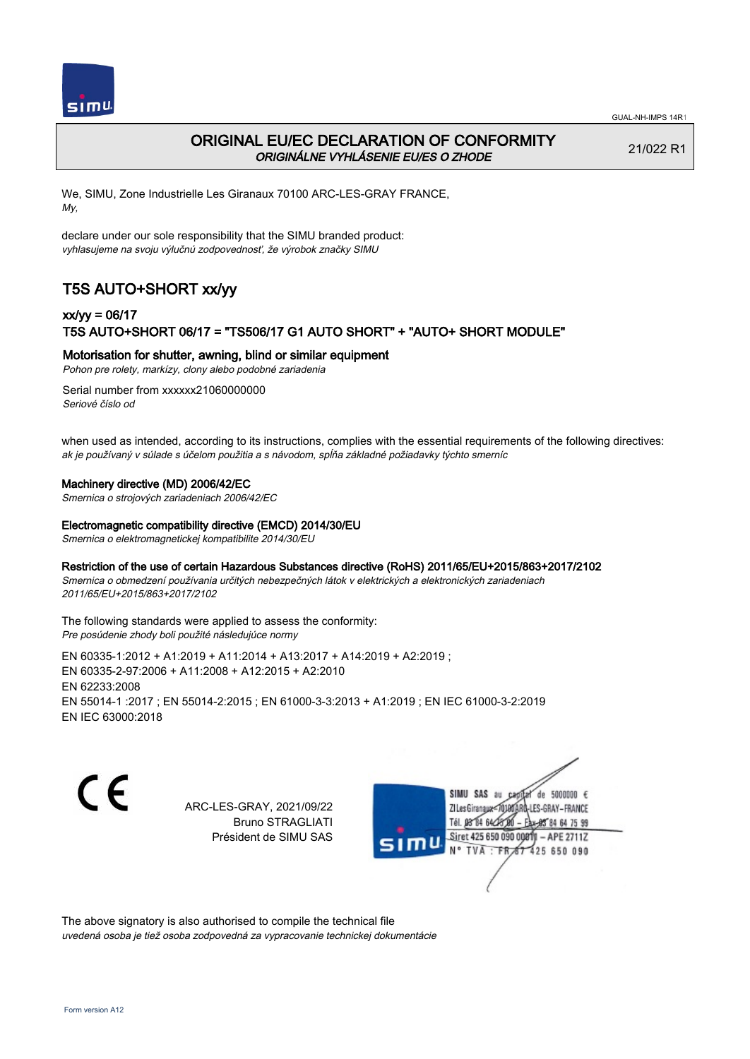

# ORIGINAL EU/EC DECLARATION OF CONFORMITY ORIGINÁLNE VYHLÁSENIE EU/ES O ZHODE

21/022 R1

We, SIMU, Zone Industrielle Les Giranaux 70100 ARC-LES-GRAY FRANCE, My,

declare under our sole responsibility that the SIMU branded product: vyhlasujeme na svoju výlučnú zodpovednosť, že výrobok značky SIMU

# T5S AUTO+SHORT xx/yy

## xx/yy = 06/17 T5S AUTO+SHORT 06/17 = "TS506/17 G1 AUTO SHORT" + "AUTO+ SHORT MODULE"

Motorisation for shutter, awning, blind or similar equipment

Pohon pre rolety, markízy, clony alebo podobné zariadenia

Serial number from xxxxxx21060000000 Seriové číslo od

when used as intended, according to its instructions, complies with the essential requirements of the following directives: ak je používaný v súlade s účelom použitia a s návodom, spĺňa základné požiadavky týchto smerníc

### Machinery directive (MD) 2006/42/EC

Smernica o strojových zariadeniach 2006/42/EC

### Electromagnetic compatibility directive (EMCD) 2014/30/EU

Smernica o elektromagnetickej kompatibilite 2014/30/EU

### Restriction of the use of certain Hazardous Substances directive (RoHS) 2011/65/EU+2015/863+2017/2102

Smernica o obmedzení používania určitých nebezpečných látok v elektrických a elektronických zariadeniach 2011/65/EU+2015/863+2017/2102

#### The following standards were applied to assess the conformity: Pre posúdenie zhody boli použité následujúce normy

EN 60335‑1:2012 + A1:2019 + A11:2014 + A13:2017 + A14:2019 + A2:2019 ; EN 60335‑2‑97:2006 + A11:2008 + A12:2015 + A2:2010 EN 62233:2008 EN 55014‑1 :2017 ; EN 55014‑2:2015 ; EN 61000‑3‑3:2013 + A1:2019 ; EN IEC 61000‑3‑2:2019 EN IEC 63000:2018

C E

ARC-LES-GRAY, 2021/09/22 Bruno STRAGLIATI Président de SIMU SAS

SIMU SAS de 5000000  $\epsilon$ **ZILes Giranaux** ES-GRAY-FRANCE 64 75 99 Siret 425 650 090 00811  $-$  APE 2711Z 425 650 090

The above signatory is also authorised to compile the technical file uvedená osoba je tiež osoba zodpovedná za vypracovanie technickej dokumentácie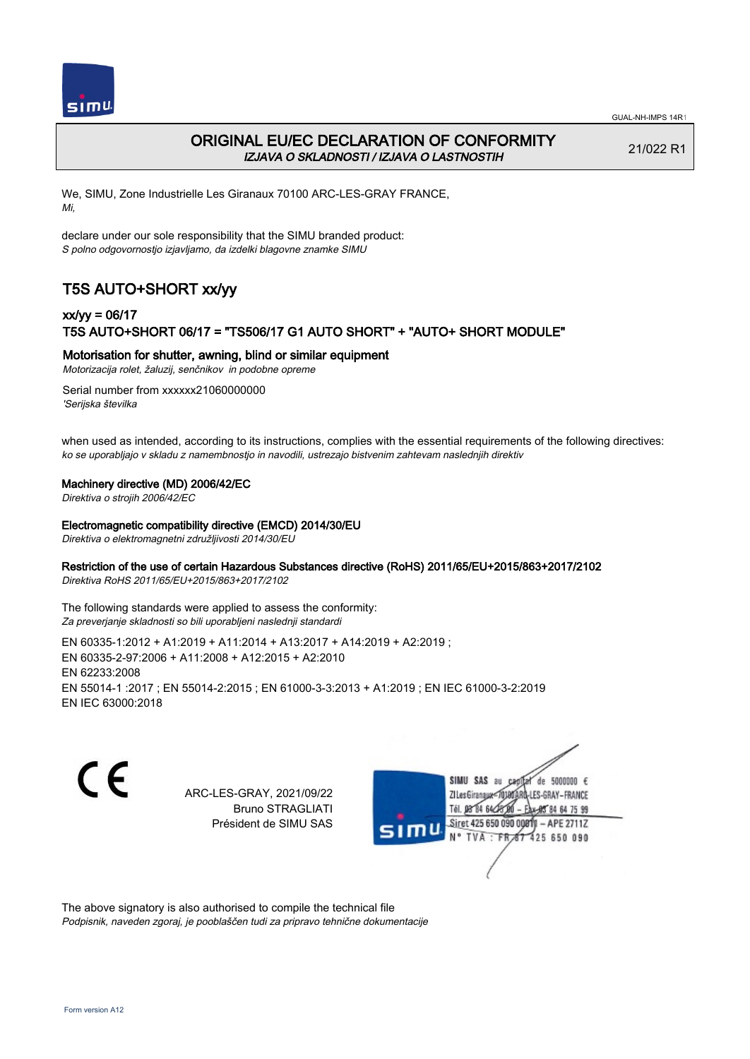

# ORIGINAL EU/EC DECLARATION OF CONFORMITY IZJAVA O SKLADNOSTI / IZJAVA O LASTNOSTIH

21/022 R1

We, SIMU, Zone Industrielle Les Giranaux 70100 ARC-LES-GRAY FRANCE, Mi,

declare under our sole responsibility that the SIMU branded product: S polno odgovornostjo izjavljamo, da izdelki blagovne znamke SIMU

# T5S AUTO+SHORT xx/yy

## xx/yy = 06/17 T5S AUTO+SHORT 06/17 = "TS506/17 G1 AUTO SHORT" + "AUTO+ SHORT MODULE"

### Motorisation for shutter, awning, blind or similar equipment

Motorizacija rolet, žaluzij, senčnikov in podobne opreme

Serial number from xxxxxx21060000000 'Serijska številka

when used as intended, according to its instructions, complies with the essential requirements of the following directives: ko se uporabljajo v skladu z namembnostjo in navodili, ustrezajo bistvenim zahtevam naslednjih direktiv

### Machinery directive (MD) 2006/42/EC

Direktiva o strojih 2006/42/EC

#### Electromagnetic compatibility directive (EMCD) 2014/30/EU

Direktiva o elektromagnetni združljivosti 2014/30/EU

### Restriction of the use of certain Hazardous Substances directive (RoHS) 2011/65/EU+2015/863+2017/2102

Direktiva RoHS 2011/65/EU+2015/863+2017/2102

The following standards were applied to assess the conformity: Za preverjanje skladnosti so bili uporabljeni naslednji standardi

EN 60335‑1:2012 + A1:2019 + A11:2014 + A13:2017 + A14:2019 + A2:2019 ; EN 60335‑2‑97:2006 + A11:2008 + A12:2015 + A2:2010 EN 62233:2008 EN 55014‑1 :2017 ; EN 55014‑2:2015 ; EN 61000‑3‑3:2013 + A1:2019 ; EN IEC 61000‑3‑2:2019 EN IEC 63000:2018

C F

ARC-LES-GRAY, 2021/09/22 Bruno STRAGLIATI Président de SIMU SAS



The above signatory is also authorised to compile the technical file Podpisnik, naveden zgoraj, je pooblaščen tudi za pripravo tehnične dokumentacije